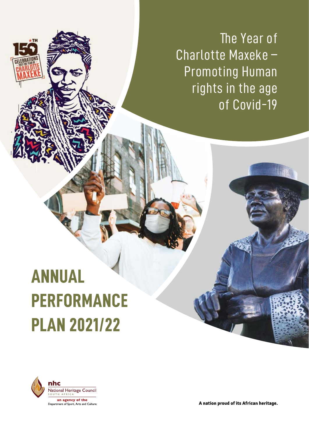The Year of Charlotte Maxeke – Promoting Human rights in the age of Covid-19

# **ANNUAL PERFORMANCE PLAN 2021/22**



A nation proud of its African heritage.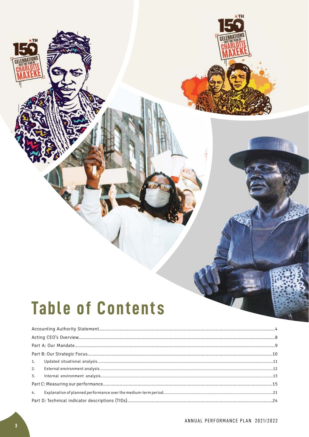# **Table of Contents**

**TH**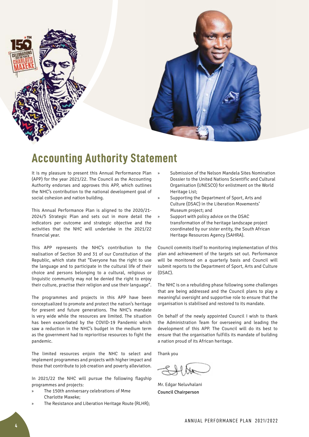

# **Accounting Authority Statement**

It is my pleasure to present this Annual Performance Plan (APP) for the year 2021/22. The Council as the Accounting Authority endorses and approves this APP, which outlines the NHC's contribution to the national development goal of social cohesion and nation building.

This Annual Performance Plan is aligned to the 2020/21- 2024/5 Strategic Plan and sets out in more detail the indicators per outcome and strategic objective and the activities that the NHC will undertake in the 2021/22 financial year.

This APP represents the NHC's contribution to the realisation of Section 30 and 31 of our Constitution of the Republic, which state that "Everyone has the right to use the language and to participate in the cultural life of their choice and persons belonging to a cultural, religious or linguistic community may not be denied the right to enjoy their culture, practise their religion and use their language".

The programmes and projects in this APP have been conceptualized to promote and protect the nation's heritage for present and future generations. The NHC's mandate is very wide while the resources are limited. The situation has been exacerbated by the COVID-19 Pandemic which saw a reduction in the NHC's budget in the medium term as the government had to reprioritise resources to fight the pandemic.

The limited resources enjoin the NHC to select and implement programmes and projects with higher impact and those that contribute to job creation and poverty alleviation.

In 2021/22 the NHC will pursue the following flagship programmes and projects:

- » The 150th anniversary celebrations of Mme Charlotte Maxeke;
- The Resistance and Liberation Heritage Route (RLHR);
- » Submission of the Nelson Mandela Sites Nomination Dossier to the United Nations Scientific and Cultural Organisation (UNESCO) for enlistment on the World Heritage List;
- » Supporting the Department of Sport, Arts and Culture (DSAC) in the Liberation Movements' Museum project; and
- » Support with policy advice on the DSAC transformation of the heritage landscape project coordinated by our sister entity, the South African Heritage Resources Agency (SAHRA).

Council commits itself to monitoring implementation of this plan and achievement of the targets set out. Performance will be monitored on a quarterly basis and Council will submit reports to the Department of Sport, Arts and Culture (DSAC).

The NHC is on a rebuilding phase following some challenges that are being addressed and the Council plans to play a meaningful oversight and supportive role to ensure that the organisation is stabilised and restored to its mandate.

On behalf of the newly appointed Council I wish to thank the Administration Team for overseeing and leading the development of this APP. The Council will do its best to ensure that the organisation fulfills its mandate of building a nation proud of its African heritage.

Thank you

Mr. Edgar Neluvhalani Council Chairperson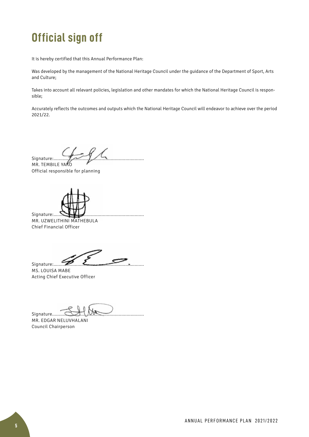# **Official sign off**

It is hereby certified that this Annual Performance Plan:

Was developed by the management of the National Heritage Council under the guidance of the Department of Sport, Arts and Culture;

Takes into account all relevant policies, legislation and other mandates for which the National Heritage Council is responsible;

Accurately reflects the outcomes and outputs which the National Heritage Council will endeavor to achieve over the period 2021/22.

Signature:....................................................................

MR. TEMBILE YAKO Official responsible for planning

Signature:..... Mr. Uzwelithini Mathebula Chief Financial Officer

 $Signature$   $\overline{Z}$   $\overline{Z}$   $\overline{Z}$   $\overline{Z}$   $\overline{Z}$   $\overline{Z}$   $\overline{Z}$   $\overline{Z}$   $\overline{Z}$   $\overline{Z}$   $\overline{Z}$   $\overline{Z}$   $\overline{Z}$   $\overline{Z}$   $\overline{Z}$   $\overline{Z}$   $\overline{Z}$   $\overline{Z}$   $\overline{Z}$   $\overline{Z}$   $\overline{Z}$   $\overline{Z}$   $\overline{Z}$   $\overline{Z}$ 

MS. LOUISA MABE Acting Chief Executive Officer

Signature.....................................................................

MR. EDGAR NELUVHALANI Council Chairperson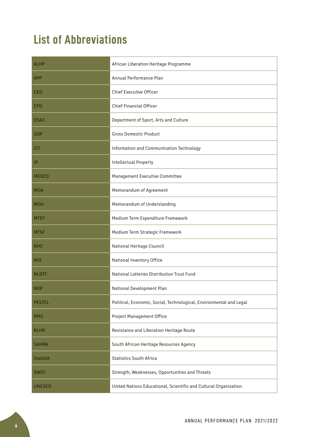# **List of Abbreviations**

| <b>ALHP</b>    | African Liberation Heritage Programme                               |
|----------------|---------------------------------------------------------------------|
| <b>APP</b>     | Annual Performance Plan                                             |
| <b>CEO</b>     | <b>Chief Executive Officer</b>                                      |
| <b>CFO</b>     | Chief Financial Officer                                             |
| <b>DSAC</b>    | Department of Sport, Arts and Culture                               |
| GDP            | <b>Gross Domestic Product</b>                                       |
| <b>ICT</b>     | Information and Communication Technology                            |
| P              | Intellectual Property                                               |
| <b>MEXCO</b>   | Management Executive Committee                                      |
| <b>MOA</b>     | Memorandum of Agreement                                             |
| <b>MOU</b>     | Memorandum of Understanding                                         |
| <b>MTEF</b>    | Medium Term Expenditure Framework                                   |
| <b>MTSF</b>    | Medium Term Strategic Framework                                     |
| <b>NHC</b>     | National Heritage Council                                           |
| <b>NIO</b>     | National Inventory Office                                           |
| <b>NLDTF</b>   | National Lotteries Distribution Trust Fund                          |
| <b>NDP</b>     | National Development Plan                                           |
| <b>PESTEL</b>  | Political, Economic, Social, Technological, Environmental and Legal |
| <b>PMO</b>     | Project Management Office                                           |
| <b>RLHR</b>    | Resistance and Liberation Heritage Route                            |
| <b>SAHRA</b>   | South African Heritage Resources Agency                             |
| <b>StatsSA</b> | <b>Statistics South Africa</b>                                      |
| <b>SWOT</b>    | Strength, Weaknesses, Opportunities and Threats                     |
| <b>UNESCO</b>  | United Nations Educational, Scientific and Cultural Organization.   |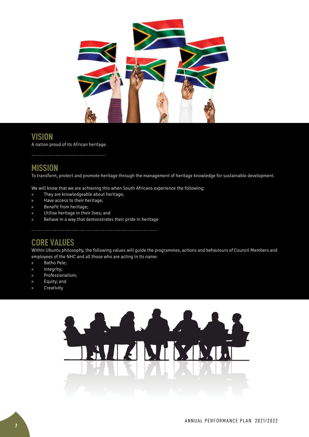

# **VISION**

A nation proud of its African heritage.

# **MISSION**

To transform, protect and promote heritage through the management of heritage knowledge for sustainable development.

We will know that we are achieving this when South Africans experience the following:

- » They are knowledgeable about heritage;
- » Have access to their heritage;
- » Benefit from heritage;
- » Utilise heritage in their lives; and
- » Behave in a way that demonstrates their pride in heritage

# **CORE VALUES**

Within Ubuntu philosophy, the following values will guide the programmes, actions and behaviours of Council Members and employees of the NHC and all those who are acting in its name:

- » Batho Pele;
- » Integrity;
- » Professionalism;
- » Equity; and
- **Creativity**

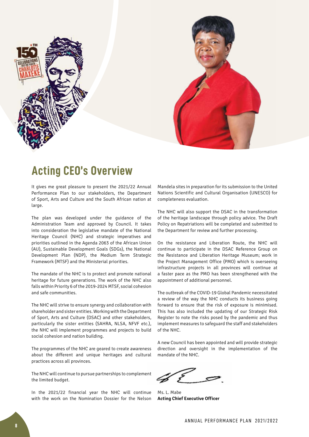



# **Acting CEO's Overview**

It gives me great pleasure to present the 2021/22 Annual Performance Plan to our stakeholders, the Department of Sport, Arts and Culture and the South African nation at large.

The plan was developed under the guidance of the Administration Team and approved by Council. It takes into consideration the legislative mandate of the National Heritage Council (NHC) and strategic imperatives and priorities outlined in the Agenda 2063 of the African Union (AU), Sustainable Development Goals (SDGs), the National Development Plan (NDP), the Medium Term Strategic Framework (MTSF) and the Ministerial priorities.

The mandate of the NHC is to protect and promote national heritage for future generations. The work of the NHC also falls within Priority 6 of the 2019-2024 MTSF, social cohesion and safe communities.

The NHC will strive to ensure synergy and collaboration with shareholder and sister entities. Working with the Department of Sport, Arts and Culture (DSAC) and other stakeholders, particularly the sister entities (SAHRA, NLSA, NFVF etc.), the NHC will implement programmes and projects to build social cohesion and nation building.

The programmes of the NHC are geared to create awareness about the different and unique heritages and cultural practices across all provinces.

The NHC will continue to pursue partnerships to complement the limited budget.

In the 2021/22 financial year the NHC will continue with the work on the Nomination Dossier for the Nelson Mandela sites in preparation for its submission to the United Nations Scientific and Cultural Organisation (UNESCO) for completeness evaluation.

The NHC will also support the DSAC in the transformation of the heritage landscape through policy advice. The Draft Policy on Repatriations will be completed and submitted to the Department for review and further processing.

On the resistance and Liberation Route, the NHC will continue to participate in the DSAC Reference Group on the Resistance and Liberation Heritage Museum; work in the Project Management Office (PMO) which is overseeing infrastructure projects in all provinces will continue at a faster pace as the PMO has been strengthened with the appointment of additional personnel.

The outbreak of the COVID-19 Global Pandemic necessitated a review of the way the NHC conducts its business going forward to ensure that the risk of exposure is minimised. This has also included the updating of our Strategic Risk Register to note the risks posed by the pandemic and thus implement measures to safeguard the staff and stakeholders of the NHC.

A new Council has been appointed and will provide strategic direction and oversight in the implementation of the mandate of the NHC.

Ms. L. Mabe **Acting Chief Executive Officer**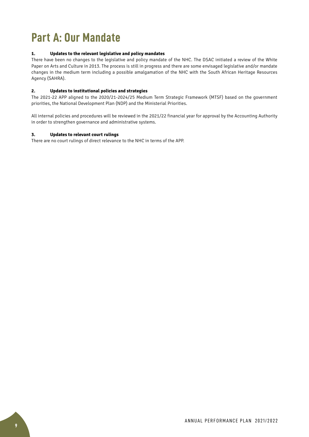# **Part A: Our Mandate**

#### **1. Updates to the relevant legislative and policy mandates**

There have been no changes to the legislative and policy mandate of the NHC. The DSAC initiated a review of the White Paper on Arts and Culture in 2013. The process is still in progress and there are some envisaged legislative and/or mandate changes in the medium term including a possible amalgamation of the NHC with the South African Heritage Resources Agency (SAHRA).

#### **2. Updates to institutional policies and strategies**

The 2021-22 APP aligned to the 2020/21-2024/25 Medium Term Strategic Framework (MTSF) based on the government priorities, the National Development Plan (NDP) and the Ministerial Priorities.

All internal policies and procedures will be reviewed in the 2021/22 financial year for approval by the Accounting Authority in order to strengthen governance and administrative systems.

#### **3. Updates to relevant court rulings**

There are no court rulings of direct relevance to the NHC in terms of the APP.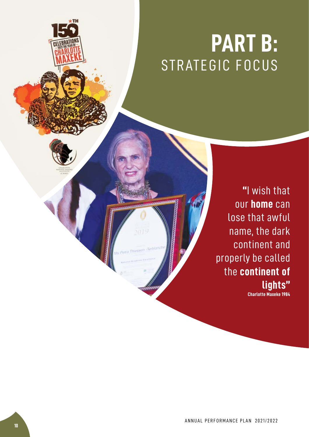# **PART B:** STRATEGIC FOCUS

**"**I wish that our **home** can lose that awful name, the dark continent and properly be called the **continent of lights"**

**Charlotte Maxeke 1984**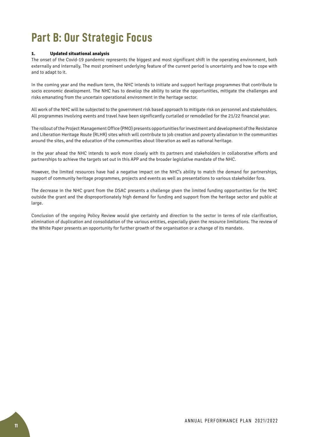# **Part B: Our Strategic Focus**

#### **1. Updated situational analysis**

The onset of the Covid-19 pandemic represents the biggest and most significant shift in the operating environment, both externally and internally. The most prominent underlying feature of the current period is uncertainty and how to cope with and to adapt to it.

In the coming year and the medium term, the NHC intends to initiate and support heritage programmes that contribute to socio economic development. The NHC has to develop the ability to seize the opportunities, mitigate the challenges and risks emanating from the uncertain operational environment in the heritage sector.

All work of the NHC will be subjected to the government risk based approach to mitigate risk on personnel and stakeholders. All programmes involving events and travel have been significantly curtailed or remodelled for the 21/22 financial year.

The rollout of the Project Management Office (PMO) presents opportunities for investment and development of the Resistance and Liberation Heritage Route (RLHR) sites which will contribute to job creation and poverty alleviation in the communities around the sites, and the education of the communities about liberation as well as national heritage.

In the year ahead the NHC intends to work more closely with its partners and stakeholders in collaborative efforts and partnerships to achieve the targets set out in this APP and the broader legislative mandate of the NHC.

However, the limited resources have had a negative impact on the NHC's ability to match the demand for partnerships, support of community heritage programmes, projects and events as well as presentations to various stakeholder fora.

The decrease in the NHC grant from the DSAC presents a challenge given the limited funding opportunities for the NHC outside the grant and the disproportionately high demand for funding and support from the heritage sector and public at large.

Conclusion of the ongoing Policy Review would give certainty and direction to the sector in terms of role clarification, elimination of duplication and consolidation of the various entities, especially given the resource limitations. The review of the White Paper presents an opportunity for further growth of the organisation or a change of its mandate.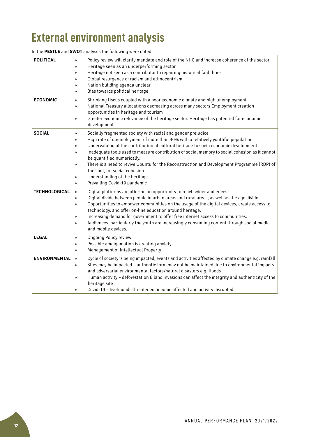# **External environment analysis**

| <b>POLITICAL</b>     | Policy review will clarify mandate and role of the NHC and increase coherence of the sector<br>$\gg$<br>Heritage seen as an underperforming sector<br>$\rightarrow$<br>Heritage not seen as a contributor to repairing historical fault lines<br>$\rangle$<br>Global resurgence of racism and ethnocentrism<br>$\rightarrow$<br>Nation building agenda unclear<br>$\gg$<br>Bias towards political heritage<br>$\rightarrow$                                                                                                                                                                                                                                                 |
|----------------------|-----------------------------------------------------------------------------------------------------------------------------------------------------------------------------------------------------------------------------------------------------------------------------------------------------------------------------------------------------------------------------------------------------------------------------------------------------------------------------------------------------------------------------------------------------------------------------------------------------------------------------------------------------------------------------|
| <b>ECONOMIC</b>      | Shrinking fiscus coupled with a poor economic climate and high unemployment<br>$\gg$<br>National Treasury allocations decreasing across many sectors Employment creation<br>$\rightarrow$<br>opportunities in heritage and tourism<br>Greater economic relevance of the heritage sector. Heritage has potential for economic<br>$\rightarrow$<br>development                                                                                                                                                                                                                                                                                                                |
| <b>SOCIAL</b>        | Socially fragmented society with racial and gender prejudice<br>$\rightarrow$<br>High rate of unemployment of more than 30% with a relatively youthful population<br>$\rangle$<br>Undervaluing of the contribution of cultural heritage to socio economic development<br>$\mathcal{D}$<br>Inadequate tools used to measure contribution of social memory to social cohesion as it cannot<br>$\rightarrow$<br>be quantified numerically.<br>There is a need to revive Ubuntu for the Reconstruction and Development Programme (RDP) of<br>$\gg$<br>the soul, for social cohesion<br>Understanding of the heritage.<br>$\rightarrow$<br>Prevailing Covid-19 pandemic<br>$\gg$ |
| <b>TECHNOLOGICAL</b> | Digital platforms are offering an opportunity to reach wider audiences<br>$\rangle$<br>Digital divide between people in urban areas and rural areas, as well as the age divide.<br>$\rightarrow$<br>Opportunities to empower communities on the usage of the digital devices, create access to<br>$\rangle$<br>technology, and offer on-line education around heritage.<br>Increasing demand for government to offer free internet access to communities.<br>$\rightarrow$<br>Audiences, particularly the youth are increasingly consuming content through social media<br>$\rightarrow$<br>and mobile devices.                                                             |
| <b>LEGAL</b>         | <b>Ongoing Policy review</b><br>$\rangle$<br>Possible amalgamation is creating anxiety<br>$\rangle$<br>Management of Intellectual Property<br>$\rangle$                                                                                                                                                                                                                                                                                                                                                                                                                                                                                                                     |
| <b>ENVIRONMENTAL</b> | Cycle of society is being impacted; events and activities affected by climate change e.g. rainfall<br>$\rangle$<br>Sites may be impacted - authentic form may not be maintained due to environmental impacts<br>$\gg$<br>and adversarial environmental factors/natural disasters e.g. floods<br>Human activity - deforestation & land invasions can affect the integrity and authenticity of the<br>$\rangle$<br>heritage site<br>Covid-19 - livelihoods threatened, income affected and activity disrupted<br>$\mathcal{D}$                                                                                                                                                |

In the **PESTLE** and **SWOT** analyses the following were noted: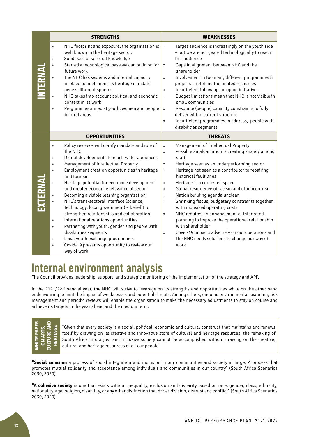| <b>STRENGTHS</b>                                                                                                                                                                                                                                                                                                                                                                                                                                                                                                                                                                                                                                                                                                                                                                                                                                                                                                | <b>WEAKNESSES</b>                                                                                                                                                                                                                                                                                                                                                                                                                                                                                                                                                                                                                                                                                                                                                                                                                                                                             |
|-----------------------------------------------------------------------------------------------------------------------------------------------------------------------------------------------------------------------------------------------------------------------------------------------------------------------------------------------------------------------------------------------------------------------------------------------------------------------------------------------------------------------------------------------------------------------------------------------------------------------------------------------------------------------------------------------------------------------------------------------------------------------------------------------------------------------------------------------------------------------------------------------------------------|-----------------------------------------------------------------------------------------------------------------------------------------------------------------------------------------------------------------------------------------------------------------------------------------------------------------------------------------------------------------------------------------------------------------------------------------------------------------------------------------------------------------------------------------------------------------------------------------------------------------------------------------------------------------------------------------------------------------------------------------------------------------------------------------------------------------------------------------------------------------------------------------------|
| NHC footprint and exposure, the organisation is<br>»<br>well known in the heritage sector.<br>Solid base of sectoral knowledge<br>$\rangle$<br>Started a technological base we can build on for<br>$\rangle$<br>future work<br>The NHC has systems and internal capacity<br>$\gg$<br>in place to implement its heritage mandate<br>across different spheres<br>NHC takes into account political and economic<br>$\gg$<br>context in its work<br>Programmes aimed at youth, women and people<br>$\mathcal{D}$<br>in rural areas.                                                                                                                                                                                                                                                                                                                                                                                 | Target audience is increasingly on the youth side<br>$\gg$<br>- but we are not geared technologically to reach<br>this audience<br>Gaps in alignment between NHC and the<br>$\mathcal{Y}$<br>shareholder<br>Involvement in too many different programmes &<br>$\mathcal V$<br>projects stretching the limited resources<br>Insufficient follow ups on good initiatives<br>$\mathcal{Y}$<br>Budget limitations mean that NHC is not visible in<br>$\mathcal{V}$<br>small communities<br>Resource (people) capacity constraints to fully<br>$\mathcal{V}$<br>deliver within current structure<br>Insufficient programmes to address, people with<br>$\mathcal{Y}$<br>disabilities segments                                                                                                                                                                                                      |
| <b>OPPORTUNITIES</b>                                                                                                                                                                                                                                                                                                                                                                                                                                                                                                                                                                                                                                                                                                                                                                                                                                                                                            | <b>THREATS</b>                                                                                                                                                                                                                                                                                                                                                                                                                                                                                                                                                                                                                                                                                                                                                                                                                                                                                |
| Policy review - will clarify mandate and role of<br>$\rangle\!\rangle$<br>the NHC<br>Digital developments to reach wider audiences<br>$\mathcal{P}$<br>Management of Intellectual Property<br>$\mathcal{D}$<br>Employment creation opportunities in heritage<br>$\mathcal{D}$<br>and tourism<br>Heritage potential for economic development<br>$\rangle$<br>and greater economic relevance of sector<br>Becoming a visible learning organization<br>$\rangle\!\rangle$<br>NHC's trans-sectoral interface (science,<br>$\rangle$<br>technology, local government) - benefit to<br>strengthen relationships and collaboration<br>International relations opportunities<br>$\mathcal{P}$<br>Partnering with youth, gender and people with<br>$\mathcal{P}$<br>disabilities segments<br>Local youth exchange programmes<br>$\rangle$<br>Covid-19 presents opportunity to review our<br>$\mathcal{P}$<br>way of work | Management of Intellectual Property<br>$\rangle\!\rangle$<br>Possible amalgamation is creating anxiety among<br>$\rangle\!\rangle$<br>staff<br>Heritage seen as an underperforming sector<br>$\mathcal{V}$<br>Heritage not seen as a contributor to repairing<br>$\rangle\!\rangle$<br>historical fault lines<br>Heritage is a contested space<br>$\gg$<br>Global resurgence of racism and ethnocentrism<br>$\boldsymbol{\mathcal{Y}}$<br>Nation building agenda unclear<br>$\boldsymbol{\mathcal{Y}}$<br>Shrinking fiscus, budgetary constraints together<br>$\mathcal{D}$<br>with increased operating costs<br>NHC requires an enhancement of integrated<br>$\boldsymbol{\mathcal{Y}}$<br>planning to improve the operational relationship<br>with shareholder<br>Covid-19 impacts adversely on our operations and<br>$\mathcal{D}$<br>the NHC needs solutions to change our way of<br>work |

# **Internal environment analysis**

The Council provides leadership, support, and strategic monitoring of the implementation of the strategy and APP.

In the 2021/22 financial year, the NHC will strive to leverage on its strengths and opportunities while on the other hand endeavouring to limit the impact of weaknesses and potential threats. Among others, ongoing environmental scanning, risk management and periodic reviews will enable the organisation to make the necessary adjustments to stay on course and achieve its targets in the year ahead and the medium term.

| $\frac{\alpha}{2}$<br>≏<br>Å | ø<br>z | Z | Ė |
|------------------------------|--------|---|---|
| Ξ<br>ξ                       |        |   | T |

"Given that every society is a social, political, economic and cultural construct that maintains and renews itself by drawing on its creative and innovative store of cultural and heritage resources, the remaking of South Africa into a just and inclusive society cannot be accomplished without drawing on the creative, cultural and heritage resources of all our people"

**"Social cohesion…** a process of social integration and inclusion in our communities and society at large. A process that promotes mutual solidarity and acceptance among individuals and communities in our country" (South Africa Scenarios 2030, 2020).

**"A cohesive society** is one that exists without inequality, exclusion and disparity based on race, gender, class, ethnicity, nationality, age, religion, disability, or any other distinction that drives division, distrust and conflict" (South Africa Scenarios 2030, 2020).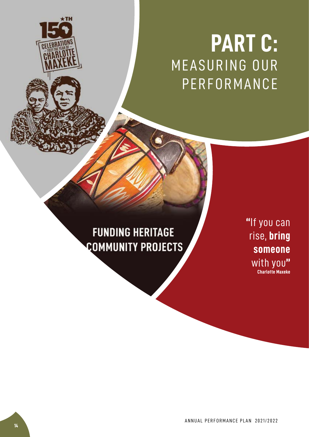# **PART C: MEASURING OUR** PERFORMANCE

# **FUNDING HERITAGE COMMUNITY PROJECTS**

**"**If you can rise, **bring someone** with you**" Charlotte Maxeke**

ANNUAL PERFORMANCE PLAN 2021/2022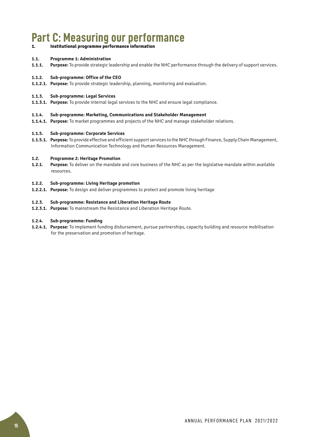# **Part C: Measuring our performance**

#### **1. Institutional programme performance information**

#### **1.1. Programme 1: Administration**

**1.1.1. Purpose:** To provide strategic leadership and enable the NHC performance through the delivery of support services.

#### **1.1.2. Sub-programme: Office of the CEO**

**1.1.2.1. Purpose:** To provide strategic leadership, planning, monitoring and evaluation.

#### **1.1.3. Sub-programme: Legal Services**

**1.1.3.1. Purpose:** To provide internal legal services to the NHC and ensure legal compliance.

#### **1.1.4. Sub-programme: Marketing, Communications and Stakeholder Management**

**1.1.4.1. Purpose:** To market programmes and projects of the NHC and manage stakeholder relations.

#### **1.1.5. Sub-programme: Corporate Services**

**1.1.5.1. Purpose:** To provide effective and efficient support services to the NHC through Finance, Supply Chain Management, Information Communication Technology and Human Resources Management.

#### **1.2. Programme 2: Heritage Promotion**

**1.2.1. Purpose:** To deliver on the mandate and core business of the NHC as per the legislative mandate within available resources.

#### **1.2.2. Sub-programme: Living Heritage promotion**

**1.2.2.1. Purpose:** To design and deliver programmes to protect and promote living heritage

#### **1.2.3. Sub-programme: Resistance and Liberation Heritage Route**

**1.2.3.1. Purpose:** To mainstream the Resistance and Liberation Heritage Route.

#### **1.2.4. Sub-programme: Funding**

**1.2.4.1. Purpose:** To implement funding disbursement, pursue partnerships, capacity building and resource mobilisation for the preservation and promotion of heritage.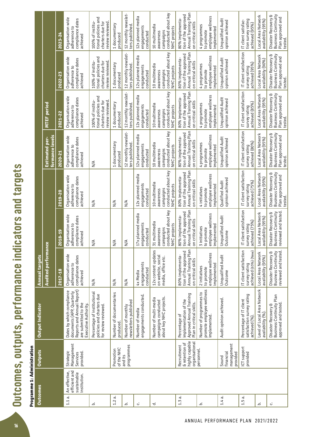Outcomes, outputs, performance indicators and targets **Outcomes, outputs, performance indicators and targets**

| ٦ |
|---|
|   |
|   |
|   |
|   |
|   |
|   |
|   |
|   |
|   |
|   |
|   |
|   |
|   |
|   |
| ę |
|   |
| í |
|   |
|   |
|   |
|   |
|   |
|   |
|   |
|   |
|   |

| <b>Outcomes</b>        |                                                               | Outputs                                                           | <b>Output Indicator</b>                                                                                                              | <b>Annual targets</b>                                                                 |                                                                                             |                                                                                       |                                                                                       |                                                                                       |                                                                                       |                                                                                       |
|------------------------|---------------------------------------------------------------|-------------------------------------------------------------------|--------------------------------------------------------------------------------------------------------------------------------------|---------------------------------------------------------------------------------------|---------------------------------------------------------------------------------------------|---------------------------------------------------------------------------------------|---------------------------------------------------------------------------------------|---------------------------------------------------------------------------------------|---------------------------------------------------------------------------------------|---------------------------------------------------------------------------------------|
|                        |                                                               |                                                                   |                                                                                                                                      | <b>Audited performance</b>                                                            |                                                                                             |                                                                                       | formance levels<br><b>Estimated per-</b>                                              | MTEF period                                                                           |                                                                                       |                                                                                       |
|                        |                                                               |                                                                   |                                                                                                                                      | 2017-18                                                                               | 018-19<br>$\alpha$                                                                          | 2019-20                                                                               | 2020-21                                                                               | 2021-22                                                                               | 2022-23                                                                               | 2023-24                                                                               |
| $\dot{\vec{c}}$<br>1.1 | efficient and<br>An effective,<br>sustainable<br>institution. | Management<br>Strategic<br>provided.<br>Services                  | Reports and Annual Report)<br>Dates by which compliance<br>documents (APP, Quarterly<br>are submitted to the<br>Executive Authority. | Organisation wide<br>compliance dates<br>adherence to<br>achieved                     | ganisation wide<br>compliance dates<br>adherence to<br>achieved<br>ō                        | Organisation wide<br>compliance dates<br>adherence to<br>achieved                     | Organisation wide<br>compliance dates<br>adherence to<br>achieved                     | Organisation wide<br>compliance dates<br>adherence to<br>achieved                     | Organisation wide<br>compliance dates<br>adherence to<br>achieved                     | Organisation wide<br>compliance dates<br>adherence to<br>achieved                     |
| .<br>ف                 |                                                               |                                                                   | Percentage of institutional<br>policies and charters due<br>for review reviewed.                                                     | $\frac{4}{2}$                                                                         | $\frac{4}{2}$                                                                               | $\frac{4}{2}$                                                                         | $\frac{4}{2}$                                                                         | tional policies and<br>100% of institu-<br>charters due for<br>review reviewed        | tional policies and<br>charters due for<br>100% of institu-<br>review reviewed.       | tional policies and<br>100% of institu-<br>charters due for<br>review reviewed        |
| 1.2a                   |                                                               | of the NHC<br>Promotion                                           | Number of documentaries<br>produced.                                                                                                 | N/A                                                                                   | $\frac{4}{2}$                                                                               | N/A                                                                                   | 1 documentary<br>produced                                                             | 1 documentary<br>produced                                                             | 1 documentary<br>produced                                                             | 1 documentary<br>produced                                                             |
| نم                     |                                                               | programmes<br>and its                                             | newsletters published<br>Number of monthly                                                                                           | $\frac{4}{2}$                                                                         | $\frac{4}{2}$                                                                               | $\frac{4}{2}$                                                                         | 12 monthly newslet-<br>ters published.                                                | 12 monthly newslet-<br>ters published.                                                | 12 monthly newslet-<br>ters published.                                                | 12 monthly newslet-<br>ters published.                                                |
| ن                      |                                                               |                                                                   | engagements conducted.<br>Number of media                                                                                            | engagements<br>conducted<br>4x Media                                                  | 17x planned media<br>engagements<br>ngagements<br>conducted                                 | 12x planned media<br>engagements<br>conducted                                         | 12x planned media<br>engagements<br>conducted                                         | 12x planned media<br>engagements<br>conducted                                         | 12x planned media<br>engagements<br>conducted                                         | 12x planned media<br>engagements<br>conducted                                         |
| ಕ                      |                                                               |                                                                   | about key NHC projects.<br>Number of multi-media<br>campaigns conducted                                                              | 12x content updates<br>on website, social<br>media, office etc.                       | campaigns<br>  conducted about key<br>  NHC projects<br>31 multimedia<br>awareness          | conducted about key<br>10 multimedia<br>NHC projects<br>campaigns<br>awareness        | conducted about key<br>10 multimedia<br>NHC projects<br>campaigns<br>awareness        | conducted about key<br>10 multimedia<br>NHC projects<br>campaigns<br>awareness        | conducted about key<br>10 multimedia<br>NHC projects<br>campaigns<br>awareness        | conducted about key<br>10 multimedia<br>NHC projects<br>campaigns<br>awareness        |
| <br>1.3                |                                                               | highly capable<br>organisational<br>& retention of<br>Recruitment | Approved Annual Training<br>implementation of the<br>Plan in critical skills.<br>Percentage of                                       | Annual Training Plan<br>on critical skills<br>tion of the approved<br>80% implementa- | 80% implementa-<br>  tion of the approved<br>  Annual Training Plan<br>  on critical skills | Annual Training Plan<br>on critical skills<br>tion of the approved<br>80% implementa- | Annual Training Plan<br>tion of the approved<br>80% implementa-<br>on critical skills | Annual Training Plan<br>on critical skills<br>tion of the approved<br>80% implementa- | Annual Training Plan<br>on critical skills<br>tion of the approved<br>80% implementa- | Annual Training Plan<br>tion of the approved<br>80% implementa-<br>on critical skills |
| .<br>د                 |                                                               | personnel                                                         | promote employee wellness<br>implemented.<br>Number of programmes to                                                                 | employee wellness<br>implemented<br>2 initiatives<br>to promote                       | 3 initiatives<br>  to promote<br>  employee wellness<br>  implemented                       | employee wellness<br>implemented<br>4 initiatives<br>to promote                       | employee wellness<br>4 programmes<br>implemented<br>to promote                        | employee wellness<br>4 programmes<br>implemented<br>to promote                        | employee wellness<br>4 programmes<br>implemented<br>to promote                        | employee wellness<br>4 programmes<br>implemented<br>to promote                        |
| $1.4a$ .               |                                                               | management<br>financial<br>provided<br>Sound                      | Audit opinion achieved.                                                                                                              | <b>Unqualified Audit</b><br>Outcome                                                   | Unqualified Audit<br>Outcome                                                                | opinion achieved<br>Qualified Audit                                                   | <b>Unqualified Audit</b><br>opinion achieved                                          | <b>Unqualified Audit</b><br>opinion achieved                                          | <b>Unqualified Audit</b><br>opinion achieved                                          | <b>Unqualified Audit</b><br>opinion achieved                                          |
| $\dot{\sigma}$<br>1.5  |                                                               | ICT support<br>provided                                           | satisfaction survey rating<br>Percentage of IT client<br>achieved (%)                                                                | IT client satisfaction<br>achieved (65%) (New)<br>survey rating                       | client satisfaction<br>achieved (75%)<br>survey rating<br>드                                 | IT client satisfaction<br>achieved (75%)<br>survey rating                             | IT client satisfaction<br>achieved (80%)<br>survey rating                             | IT client satisfaction<br>achieved (85%)<br>survey rating                             | IT client satisfaction<br>achieved (95%)<br>survey rating                             | tion survey rating<br>IT client satisfac-<br>achieved (95%)                           |
| نم                     |                                                               |                                                                   | Level of Local Area Network<br>availability (%)                                                                                      | Local Area Network<br>availability (95%)                                              | Local Area Network<br>availability (95%)                                                    | Local Area Network<br>availability (95%)                                              | Local Area Network<br>availability (95%)                                              | Local Area Network<br>availability (95%)                                              | Local Area Network<br>availability (90%)                                              | Local Area Network<br>availability (95%)                                              |
| ن                      |                                                               |                                                                   | <b>Business Continuity Plan</b><br>approved and tested.<br>Disaster Recovery &                                                       | reviewed and tested.<br><b>Business Continuity</b><br>Disaster Recovery &             | Disaster Recovery &<br>Business Continuity<br>  reviewed and tested.                        | Disaster Recovery &<br>Business Continuity<br>Plan approved and<br>tested.            | <b>Business Continuity</b><br>Disaster Recovery &<br>Plan approved and<br>tested      | Business Continuity<br>Disaster Recovery &<br>Plan approved and<br>tested             | <b>Business Continuity</b><br>Disaster Recovery &<br>Plan approved and<br>tested.     | Disaster Recovery &<br>Business Continuity<br>Plan approved and<br>tested             |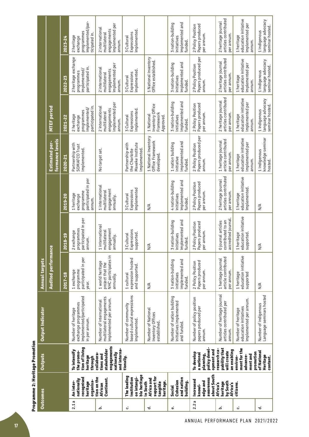| ì           |
|-------------|
| ֠<br>i<br>ć |
|             |

|                       |                                   | 2023-24 | implemented/par-<br>programmes<br>ticipated in.<br>2 heritage<br>exchange              | implemented per<br>2 international<br>engagements<br>multilatera<br>annum.         | implemented<br>Expressions<br>3 Cultural                              |                                                                | implemented and<br>3 nation-building<br>initiatives<br>funded       | Papers produced<br>2 Policy Position<br>per annum.                   | articles contributed<br>2 heritage journal<br>per annum          | education initiative<br>implemented per<br>1 heritage<br>annum.       | language advocacy<br>seminar hosted<br>1 indigenous |
|-----------------------|-----------------------------------|---------|----------------------------------------------------------------------------------------|------------------------------------------------------------------------------------|-----------------------------------------------------------------------|----------------------------------------------------------------|---------------------------------------------------------------------|----------------------------------------------------------------------|------------------------------------------------------------------|-----------------------------------------------------------------------|-----------------------------------------------------|
|                       |                                   | 2022-23 | 2 heritage exchange<br>participated in.<br>implemented/<br>programmes                  | implemented per<br>2 international<br>engagements<br>multilateral<br>annum.        | implemented<br>Expressions<br>3 Cultural                              | 1 National Inventory<br>Office established.                    | implemented and<br>3 nation-building<br>initiatives<br>funded       | Papers produced per<br>2 Policy Position<br>annum.                   | articles contributed<br>2 heritage journal<br>per annum          | education initiative<br>implemented per<br>1 heritage<br>annum.       | language advocacy<br>seminar hosted<br>1 indigenous |
|                       | MTEF period                       | 2021-22 | participated in.<br>implemented/<br>programmes<br>2 heritage<br>exchange               | implemented per<br>2 international<br>engagements<br>multilateral<br>annum.        | implemented.<br>Expressions<br>3 Cultural                             | Inventory Office<br>Framework<br>1 National<br>Approved.       | implemented and<br>3 nation-building<br>initiatives<br>funded.      | Papers produced<br>2 Policy Position<br>per annum.                   | articles contributed<br>2 heritage journal<br>per annum.         | education initiative<br>implemented per<br>1 heritage<br>annum.       | language advocacy<br>seminar hosted<br>1 indigenous |
|                       | formance levels<br>Estimated per- | 2020-21 | Partnership with<br>SOMAFCO Trust<br>implemented.                                      | No target set.                                                                     | Partnership with<br>Maxeke Institute<br>the Charlotte<br>implemented. | 1 National Inventory<br>Office Framework<br>developed.         | implemented and<br>1 nation building<br>initiative<br><b>funded</b> | Papers produced per<br>2 Policy Position<br>annum.                   | article contributed<br>1 heritage journal<br>per annum.          | education initiative<br>implemented per<br>1 heritage<br>annum        | knowledge seminar<br>1 indigenous<br>hosted         |
|                       |                                   | 2019-20 | participated in per<br>programme<br>1 heritage<br>exchange<br>annum.                   | 1 international<br>engagement<br>multilateral<br>annually.                         | implemented<br>Expressions<br>3 Cultural                              | $\frac{1}{2}$                                                  | implemented and<br>4 nation-building<br>initiatives<br>funded       | Papers produced<br>2 Policy Position<br>per annum.                   | articles contributed<br>2 heritage journal<br>per annum.         | education initiative<br>implemented<br>1 heritage                     | $\frac{4}{2}$                                       |
|                       | ဗ္မ                               | 2018-19 | participated in per<br>programmes<br>2 exchange<br>annum.                              | 1 international<br>engagement<br>multilateral<br>annually.                         | Expressions<br>supported<br>3 Cultural                                | $M_{\rm M}$                                                    | implemented and<br>3 nation-building<br>initiatives<br>funded.      | Papers produced<br>2 Policy Position<br>per annum                    | accredited journal<br>contributed to an<br>0 journal articles    | education initiative<br>1 heritage<br>supported                       | $\frac{4}{2}$                                       |
| <b>Annual targets</b> | Audited performan                 | 2017-18 | participated in per<br>programme<br>1 exchange<br>year.                                | NHC participates in<br>1 world heritage<br>project that the<br>annually.           | expression hosted<br>and supported.<br>1 cultural                     | $\frac{1}{2}$                                                  | implemented and<br>3 nation-building<br>initiatives<br>funded.      | Papers produced<br>2 Policy Position<br>per annum.                   | article contributed<br>1 heritage journal<br>per annum.          | education initiative<br>1 heritage<br>supported                       | $\frac{4}{2}$                                       |
| Output Indicator      |                                   |         | implemented/participated<br>exchange programmes<br>Number of heritage<br>in per annum. | multilateral engagements<br>implemented per annum.<br>Number of international      | based cultural expressions<br>Number of community<br>implemented.     | Number of National<br>Inventory Offices<br>established.        | Number of nation building<br>initiatives implemented<br>and funded. | Number of policy position<br>papers produced per<br>annum.           | Number of heritage journal<br>articles contributed per<br>annum. | implemented per annum.<br>education initiatives<br>Number of heritage | Language seminars hosted<br>Number of indigenous    |
| <b>Outputs</b>        |                                   |         | tion of living<br>To intensify<br>the promo-<br>heritage<br>through                    | engagements<br>stakeholder<br>and interna<br>nationally<br>collabora-<br>tions and | tionally.                                                             |                                                                |                                                                     | policy devel-<br>opment and<br>To develop<br>a national<br>planning, | research ca-<br>pability that<br>an enabling<br>will create      | ment for the<br>promotion<br>ment and<br>advance-<br>environ-         | of National<br>Heritage<br>content.                 |
|                       |                                   |         | recognised<br>nationally<br>organisa-<br>An inter-<br>heritage                         | tion on the<br>Continent.<br><b>African</b>                                        | ble heritage<br>The leading<br>on intangi-<br>institution             | support for<br>Africa and<br>heritage.<br>in South<br>tangible | and nation<br>Cohesion<br>building.<br>Social                       | about South<br>awareness<br><b>Increased</b><br>edge and<br>knowl-   | by South<br>heritage<br>Africa's<br>Africa's                     | citizens.                                                             |                                                     |
| <b>Outcomes</b>       |                                   |         | 2.1a                                                                                   | ئم                                                                                 | ئ                                                                     | ಕ                                                              | نه                                                                  | 2.2a                                                                 | ئم                                                               | ئى                                                                    | ಕ                                                   |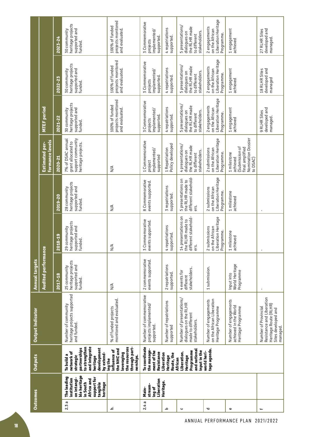| <b>Outcomes</b> |                                                                                                                            | <b>Outputs</b>                                                                                                                   | <b>Output Indicator</b>                                                                                       | <b>Annual targets</b>                                         |                                                                               |                                                                        |                                                                                               |                                                                                    |                                                                                    |                                                                                    |
|-----------------|----------------------------------------------------------------------------------------------------------------------------|----------------------------------------------------------------------------------------------------------------------------------|---------------------------------------------------------------------------------------------------------------|---------------------------------------------------------------|-------------------------------------------------------------------------------|------------------------------------------------------------------------|-----------------------------------------------------------------------------------------------|------------------------------------------------------------------------------------|------------------------------------------------------------------------------------|------------------------------------------------------------------------------------|
|                 |                                                                                                                            |                                                                                                                                  |                                                                                                               | <b>Audited performance</b>                                    |                                                                               |                                                                        | formance levels<br>Estimated per-                                                             | MTEF period                                                                        |                                                                                    |                                                                                    |
|                 |                                                                                                                            |                                                                                                                                  |                                                                                                               | 2017-18                                                       | 2018-19                                                                       | 2019-20                                                                | 2020-21                                                                                       | 2021-22                                                                            | 2022-23                                                                            | 2023-24                                                                            |
| 2.3a            | ble heritage<br>The leading<br>support for<br>on intangi-<br>institution<br>Africa and<br>in South<br>tangible<br>heritage | to strengthen<br>and integrate<br>partnerships<br>development<br>network of<br>by extend-<br>To build a<br>strategic<br>heritage | Number of community<br>heritage projects supported<br>and funded.                                             | 25 community<br>heritage projects<br>supported and<br>funded. | 29 community<br>heritage projects<br>supported and<br>funded.                 | heritage projects<br>supported and<br>28 community<br>funded.          | support community<br>7% of DSAC annual<br>grant allocated to<br>heritage projects.            | heritage projects<br>supported and<br>funded.<br>30 community                      | heritage projects<br>supported and<br>30 community<br>funded.                      | heritage projects<br>supported and<br>30 community<br>funded.                      |
| م               |                                                                                                                            | through part-<br>the resources<br>the NHC and<br>influence of<br>leveraging<br>nerships.<br>ing the                              | monitored and evaluated.<br>% of funded projects                                                              | $\frac{4}{2}$                                                 | $\frac{4}{2}$                                                                 | $\frac{4}{2}$                                                          | $\frac{4}{2}$                                                                                 | projects monitored<br>100% of funded<br>and evaluated.                             | projects monitored<br>100% of funded<br>and evaluated.                             | projects monitored<br>100% of funded<br>and evaluated.                             |
| æ<br>2.4        | Liberation<br>stream-<br>ing of<br>Main-                                                                                   | To coordinate<br>the manage-<br>ment of the<br>Resistance                                                                        | Number of commemorative<br>projects implemented/<br>supported.                                                | 2 commemorative<br>events supported.                          | Commemorative<br>3 Commemorative<br>  events supported.                       | 8 Commemorative<br>events supported.                                   | 1 Commemorative<br>implemented/<br>supported<br>project                                       | 3 Commemorative<br>implemented/<br>supported.<br>projects                          | 3 Commemorative<br>implemented/<br>supported.<br>projects                          | 3 Commemorative<br>implemented/<br>supported<br>projects                           |
| م               | Heritage.                                                                                                                  | Liberation<br>Route, the<br>Heritage                                                                                             | Number of repatriations<br>supported                                                                          | 2 repatriations<br>supported.                                 | repatriations<br>4 repanses.<br>Supported.                                    | 3 repatriations<br>supported.                                          | 1 Repatriation<br>Policy developed                                                            | 4 repatriations<br>supported.                                                      | 4 repatriations<br>supported.                                                      | 4 repatriations<br>supported.                                                      |
| $\mathbf c$     |                                                                                                                            | and national<br>input in the<br>Programme<br>Liberation.<br>Heritage<br>African                                                  | Number of presentations/<br>dialogues on the RLHR<br>made to different<br>stakeholders.                       | stakeholders.<br>4 events for<br>different                    | 14 presentations on<br>  the RLHR made to<br>  different stakehold-<br>  ers. | different stakehold-<br>5 presentations on<br>the RLHR made to<br>ers. | 4 presentations/<br>the RLHR made<br>stakeholders.<br>dialogues on<br>to different            | 5 presentations/<br>the RLHR made<br>stakeholders.<br>dialogues on<br>to different | 5 presentations/<br>the RLHR made<br>stakeholders.<br>dialogues on<br>to different | 5 presentations/<br>the RLHR made<br>stakeholders.<br>dialogues on<br>to different |
| ರ               |                                                                                                                            | tage agenda.<br>world heri-                                                                                                      | on the African Liberation<br>Number of engagements<br>Heritage Programme                                      | 1 submission.                                                 | 2 submissies<br>on the African<br>Liberation Heritage<br>  Programme.         | Liberation Heritage<br>2 submissions<br>on the African<br>Programme.   | Liberation Heritage<br>2 submissions<br>on the African<br>Programme.                          | Liberation Heritage<br>2 engagements<br>on the African<br>Programme.               | Liberation Heritage<br>2 engagements<br>on the African<br>Programme.               | Liberation Heritage<br>2 engagements<br>on the African<br>Programme.               |
| Φ               |                                                                                                                            |                                                                                                                                  | Number of engagements<br>achieved in the World<br>Heritage Programme                                          | World Heritage<br>Programme<br>Input into                     | milestone<br>1 milestor<br>achieved                                           | 1 milestone<br>achieved                                                | Nomination Dossier<br>to DSAC)<br>Submission of<br>final amplified<br>1 milestone<br>achieved | 1 engagement<br>achieved                                                           | 1 engagement<br>achieved                                                           | 1engagement<br>achieved                                                            |
| 4               |                                                                                                                            |                                                                                                                                  | Resistance and Liberation<br>Heritage Route (RLHR)<br>Number of Provincial<br>Sites developed and<br>managed. |                                                               |                                                                               |                                                                        |                                                                                               | developed and<br>9 RLHR Sites<br>managed.                                          | developed and<br>18 RLHR Sites<br>managed                                          | developed and<br>27 RLHR Sites<br>managed.                                         |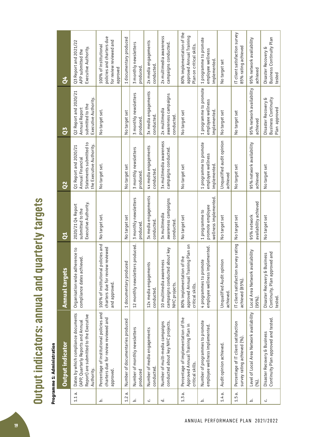Output indicators: annual and quarterly targets **Output indicators: annual and quarterly targets**

# Programme 1: Administration **Programme 1: Administration**

|          | Output indicator                                                                                                                  | <b>Annual targets</b>                                                                  | ទី                                                            | $\mathbf{Q}^{\prime}$                                                                            | <b>PO</b>                                                                          | $\mathbf{v}$                                                                              |
|----------|-----------------------------------------------------------------------------------------------------------------------------------|----------------------------------------------------------------------------------------|---------------------------------------------------------------|--------------------------------------------------------------------------------------------------|------------------------------------------------------------------------------------|-------------------------------------------------------------------------------------------|
| $1.1a$ . | Dates by which compliance documents<br>Report) are submitted to the Executive<br>(APP, Quarterly Reports and Annual<br>Authority. | Organisation wide adherence to<br>compliance dates achieved.                           | Executive Authority.<br>2020/21 Q4 Report<br>submitted to the | Statements submitted to<br>the Executive Authority.<br>Q1 Report and 2020/21<br>Annual Financial | Q2 Report and 2020/21<br>Executive Authority.<br>submitted to the<br>Annual Report | Q3 Report and 2021/22<br>Executive Authority.<br>APP submitted the                        |
| ئم       | Percentage of institutional policies and<br>charters due for review reviewed and<br>approved                                      | 100% of institutional policies and<br>charters due for review reviewed<br>and approved | No target set.                                                | No target set.                                                                                   | No target set.                                                                     | policies and charters due<br>for review reviewed and<br>100% of institutional<br>approved |
| 1.2      | Number of documentaries produced<br>$\dot{\sigma}$                                                                                | 1 documentary produced                                                                 | No target set                                                 | No target set                                                                                    | No target set                                                                      | 1 documentary produced                                                                    |
| نم       | Number of monthly newsletters<br>produced                                                                                         | produced.<br>12 monthly newsletters                                                    | 3 monthly new sletters<br>produced                            | 3 monthly newsletters<br>produced                                                                | 3 monthly newsletters<br>produced                                                  | 3 monthly newsletters<br>produced                                                         |
| ن        | Number of media engagements<br>conducted                                                                                          | 12x media engagements<br>conducted.                                                    | 3x media engagements<br>conducted.                            | 4x media engagements<br>conducted.                                                               | 3x media engagements<br>conducted.                                                 | 2x media engagements<br>conducted.                                                        |
| ಕ        | conducted about key NHC projects.<br>Number of multi-media campaigns                                                              | campaigns conducted about key<br>10 multimedia awareness<br>NHC projects.              | awareness campaigns<br>3x multimedia<br>conducted.            | 3x multimedia awareness<br>campaigns conducted.                                                  | awareness campaigns<br>2x multimedia<br>conducted.                                 | 2x multimedia awareness<br>campaigns conducted.                                           |
| $1.3a$ . | Percentage of implementation of the<br>Approved Annual Training Plan in<br>critical skills.                                       | ng Plan on<br>80% implementation of the<br>approved Annual Trainin<br>critical skills. | No target set                                                 | No target set                                                                                    | No target set                                                                      | 80% implementation of the<br>approved Annual Training<br>Plan on critical skills.         |
| خـ       | Number of programmes to promote<br>employee wellness implemented.                                                                 | employee wellness implemented.<br>4 programmes to promote                              | wellness implemented.<br>promote employee<br>1 programme to   | 1 programme to promote<br>employee wellness<br>implemented.                                      | 1 programme to promote<br>employee wellness<br>implemented.                        | 1 programme to promote<br>employee wellness<br>implemented.                               |
| $1.4a$ . | Audit opinion achieved.                                                                                                           | Unqualified Audit opinion<br>achieved.                                                 | No target set                                                 | Unqualified audit opinion<br>achieved                                                            | No target set                                                                      | No target set                                                                             |
| 1.5a.    | Percentage of IT client satisfaction<br>survey rating achieved (%).                                                               | rvey rating<br>IT client satisfaction sur<br>achieved (85%).                           | No target set                                                 | No target set                                                                                    | No target set                                                                      | IT client satisfaction survey<br>85% rating achieved                                      |
| نم       | Level of Local Area Network availability<br>(%).                                                                                  | Local Area Network availability<br>(95%).                                              | availability achieved<br>95% network                          | 95% network availability<br>achieved                                                             | 95% network availability<br>achieved                                               | 95% network availability<br>achieved                                                      |
| ن        | Continuity Plan approved and tested.<br>Disaster Recovery & Business                                                              | Continuity. Plan approved and<br>Disaster Recovery & Business<br>tested.               | No target set                                                 | No target set                                                                                    | Business Continuity<br>Disaster Recovery &<br>Plan approved                        | Business Continuity Plan<br>Disaster Recovery &<br>tested                                 |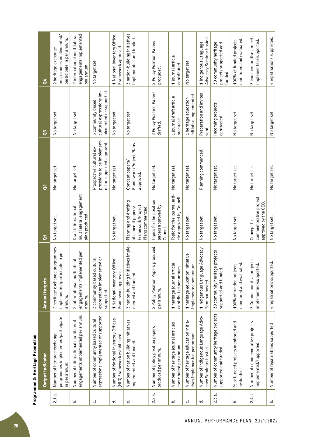| l     |
|-------|
| ֡֡֡֡֡ |

|           | Output indicator                                                                   | <b>Annual targets</b>                                                      | ទី                                                                                   | $\mathbf{\tilde{c}}$                                                                | $\overline{c}$                                                           | $\sigma$                                                                    |
|-----------|------------------------------------------------------------------------------------|----------------------------------------------------------------------------|--------------------------------------------------------------------------------------|-------------------------------------------------------------------------------------|--------------------------------------------------------------------------|-----------------------------------------------------------------------------|
| ಸ<br>2.1  | programmes implemented/participate<br>Number of heritage exchange<br>in per annum. | 2 heritage exchange programmes<br>implemented/participate in per<br>annum. | No target set.                                                                       | No target set.                                                                      | No target set.                                                           | programmes implemented/<br>participate in per annum.<br>2 heritage exchange |
| نم        | engagements implemented per annum.<br>Number of international multilateral         | engagements implemented per<br>2 international multilateral<br>annum.      | multilateral engagement<br>Draft international<br>plan produced                      | No target set.                                                                      | No target set.                                                           | engagements implemented<br>2 international multilateral<br>per annum.       |
| ئى        | expressions implemented or supported.<br>Number of community based cultural        | expressions implemented or<br>3 community based cultural<br>supported.     |                                                                                      | pressions to be implement-<br>ed or supported approved.<br>Prospective cultural ex- | plemented or supported.<br>cultural expressions im-<br>3 community based | No target set.                                                              |
| ಕ         | Number of National Inventory Offices<br>(NIO) Framework established                | 1 National Inventory Office<br>Framework approved.                         | No target set.                                                                       | No target set.                                                                      | No target set.                                                           | 1 National Inventory Office<br>Framework approved.                          |
| نه        | Number of nation building initiatives<br>implemented and funded                    | ives imple-<br>3 nation-building initiat<br>mented and funded.             | Planning and drafting<br>Framework/Project<br>Plans commenced.<br>of concept papers/ | Framework/Project Plans<br>Concept papers/<br>approved.                             | No target set.                                                           | 3 nation-building initiatives<br>implemented and funded.                    |
| 2.2 a.    | Number of policy position papers<br>produced per annum.                            | produced<br>2 Policy Position Papers<br>per annum.                         | Topics for the position<br>papers approved by<br>Council.                            | No target set.                                                                      | 2 Policy Position Papers<br>drafted.                                     | 2 Policy Position Papers<br>produced.                                       |
| نم        | Number of heritage journal articles<br>contributed per annum.                      | 1 heritage journal article<br>contributed per annum.                       | Topic for the journal arti-<br>cle approved by Council.                              | No target set.                                                                      | 1 journal draft article<br>produced.                                     | 1 journal article<br>contributed.                                           |
| ن         | Number of heritage education initia-<br>tives implemented per annum.               | itiative<br>implemented per annum<br>1 heritage education ini              | No target set.                                                                       | No target set.                                                                      | initiative implemented.<br>1 heritage education                          | No target set.                                                              |
| ಕ         | Number of Indigenous Language Advo-<br>cacy Seminars hosted.                       | Advocacy<br>1 Indigenous Language<br>Seminar hosted.                       | No target set.                                                                       | Planning commenced.                                                                 | Preparation and invites<br>sent                                          | Advocacy Seminar hosted.<br>1 Indigenous Language                           |
| ര്<br>2.3 | Number of community heritage projects<br>supported and funded.                     | projects<br>30 community heritage<br>supported and funded.                 | No target set.                                                                       | No target set.                                                                      | Incoming projects<br>contracted.                                         | 30 community heritage<br>projects supported and<br>funded.                  |
| خـ        | % of funded projects monitored and<br>evaluated.                                   | monitored and evaluated.<br>100% of funded projects                        | No target set.                                                                       | No target set.                                                                      | No target set.                                                           | monitored and evaluated.<br>100% of funded projects                         |
| π<br>2.4  | Number of commemorative projects<br>implemented/supported.                         | 3 Commemorative projects<br>implemented/supported                          | commemorative project<br>approved by the CEO.<br>Concept for                         | No target set.                                                                      | No target set.                                                           | 3 commemorative projects<br>implemented/supported.                          |
| نم        | Number of repatriations supported                                                  | 4 repatriations supported.                                                 | No target set.                                                                       | No target set.                                                                      | No target set.                                                           | 4 repatriations supported.                                                  |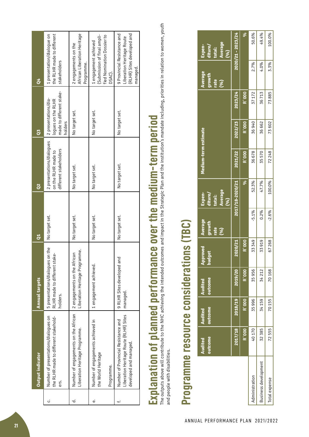|    | Output indicator                                                                                        | <b>Annual targets</b>                                                            | $\mathbf{c}^{\prime}$ | <u>c</u>                                                                   | SQ                                                                                | ð4                                                                                                 |
|----|---------------------------------------------------------------------------------------------------------|----------------------------------------------------------------------------------|-----------------------|----------------------------------------------------------------------------|-----------------------------------------------------------------------------------|----------------------------------------------------------------------------------------------------|
| ن  | Number of presentations/dialogues on<br>the RLHR made to different stakehold-<br>ers.                   | on the<br>RLHR made to different stake-<br>5 presentations/dialoques<br>holders. | No target set.        | 2 presentations/dialogues<br>different stakeholders<br>on the RLHR made to | made to different stake-<br>2 presentations/dia-<br>logues on the RLHR<br>holders | presentation/dialogue on<br>the RLHR made to different<br>stakeholders                             |
| ರ  | Number of engagements on the African   2 engagements on the African<br>Liberation Heritage Programme.   | Liberation Heritage Programme.                                                   | No target set.        | No target set.                                                             | No target set.                                                                    | African Liberation Heritage<br>2 engagements on the<br>Programme.                                  |
| نه | Number of engagements achieved in<br>the World Heritage<br>Programme.                                   | 1 engagement achieved.                                                           | No target set.        | No target set.                                                             | No target set.                                                                    | Submission of final ampli-<br>fied Nomination Dossier to<br>1 engagement achieved<br>DSAC).        |
|    | Liberation Heritage Route (RLHR) Sites<br>Number of Provincial Resistance and<br>developed and managed. | 9 RLHR Sites developed and<br>managed.                                           | No target set.        | No target set.                                                             | No target set.                                                                    | (RLHR) Sites developed and<br>9 Provincial Resistance and<br>Liberation Heritage Route<br>managed. |

# Explanation of planned performance over the medium-term period is an relation to women, youth **Explanation of planned performance over the medium-term period**

The outputs above will contribute to the NHC achieving the intended outcomes and impact in the Strategic Plan and the institution's mandate including, priorities in relation to women, youth and people with disabilities. and people with disabilities.

# Programme resource considerations (TBC) **Programme resource considerations (TBC)**

|                      | <b>Audited</b><br>outcome | outcome<br><b>Audited</b> | outcome<br><b>Audited</b> | proved<br><b>iget</b><br>and<br>Pad | Average<br>growth<br>rate<br>(96) | Average<br>Expen-<br>diture/<br>total:<br>(96) | Medium-term estimate |               |         | Average<br>growth<br>rate<br>(96) | Average<br>Expen-<br>diture/<br>total:<br>(96) |
|----------------------|---------------------------|---------------------------|---------------------------|-------------------------------------|-----------------------------------|------------------------------------------------|----------------------|---------------|---------|-----------------------------------|------------------------------------------------|
|                      | 2017/18                   | 2018/19                   | 2019/20                   | 2020/21                             |                                   | 2017/18-2020/21                                | 2021/22              | 2022/23       | 2023/24 |                                   | $2020/21 - 2023/24$                            |
|                      | <b>R`000</b>              | R 000                     | R`000                     | <b>R</b> `000                       |                                   | \$                                             | <b>R</b> `000        | <b>R</b> `000 | R`000   |                                   | Š,                                             |
| Administration       | 40170                     | 35996                     | 35956                     | 33 349                              | $-5.1%$                           | 52.3%                                          | 36678                | 36940         | 37172   | 2.7%                              | 50.6%                                          |
| Business development | 32 385                    | 34 159                    | 34 212                    | 33919                               | 0.2%                              | 47.7%                                          | 35570                | 36 662        | 36713   | 4.0%                              | 49.4%                                          |
| Total expense        | 72555                     | 70155                     | 70168                     | 67268                               | $-2.6%$                           | 100.0%                                         | 72 248               | 73602         | 73885   | 3.3%                              | 100.0%                                         |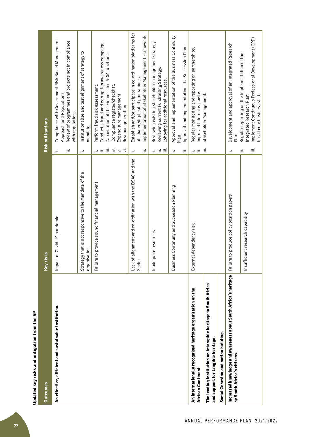| <b>Outcomes</b>                                                                                      | risks<br>Key                                                           | Risk mitigations                                                                                                                                                                                                                                                                      |
|------------------------------------------------------------------------------------------------------|------------------------------------------------------------------------|---------------------------------------------------------------------------------------------------------------------------------------------------------------------------------------------------------------------------------------------------------------------------------------|
| An effective, efficient and sustainable institution.                                                 | ct of Covid-19 pandemic<br>lmpai                                       | Compliance with Government Risk Based Management<br>Review of programmes and projects not in compliance<br>Approach and Regulations<br>with regulations.<br>Ë<br>Ĵ.                                                                                                                   |
|                                                                                                      | Strategy that is not responsive to the Mandate of the<br>organisation. | Institutionalize and test alignment of strategy to<br>mandate.<br>Ĩ,                                                                                                                                                                                                                  |
|                                                                                                      | re to provide sound financial management<br>Failu                      | Conduct a fraud and corruption awareness campaign.<br>Capacitation of the Finance and SCM functions.<br>Perform fraud risk assessment.<br>Compliance register/checklist.<br>Expenditure management<br>Revenue generation<br>$\equiv$<br>$\overline{z}$<br>$\geq$<br>$=$ $=$<br>$\leq$ |
|                                                                                                      | of alignment and co-ordination with the DSAC and the<br>Sector<br>Lack | Establish and/or participate in co-ordination platforms for<br>Implementation of Stakeholder Management Framework<br>all shared/duplicated programmes.<br>ωĖ<br>į,                                                                                                                    |
|                                                                                                      | equate resources.<br><b>Inade</b>                                      | Reviewing existing stakeholder management strategy.<br>Reviewing current Fundraising Strategy.<br>Lobbying for additional resources.<br>$\equiv$<br>$\equiv$ $\equiv$                                                                                                                 |
|                                                                                                      | ness Continuity and Succession Planning<br>Busi                        | Approval and Implementation of the Business Continuity<br>Approval and implementation of a Succession Plan.<br>Plan.<br>Ξ<br>÷.                                                                                                                                                       |
| An internationally recognised heritage organisation on the<br>African Continent                      | rnal dependency risk<br>Exter                                          | Regular monitoring and reporting on partnerships.<br>Improved internal capacity.<br>$\frac{1}{\pi}$ $\equiv$ $\frac{1}{\pi}$                                                                                                                                                          |
| The leading institution on intangible heritage in South Africa<br>and support for tangible heritage. |                                                                        | Stakeholder Management.                                                                                                                                                                                                                                                               |
| Social Cohesion and nation building.                                                                 |                                                                        |                                                                                                                                                                                                                                                                                       |
| Increased knowledge and awareness about South Africa's heritage<br>by South Africa's citizens.       | Failure to produce policy position papers                              | Development and approval of an Integrated Research<br>Plan.<br>j.                                                                                                                                                                                                                     |
|                                                                                                      | Insufficient research capability                                       | Implement Continuous Professional Development (CPD)<br>Regular reporting on the implementation of the<br>Integrated Research Plan.<br>for all core business staff.<br>Ξ<br>Ξ                                                                                                          |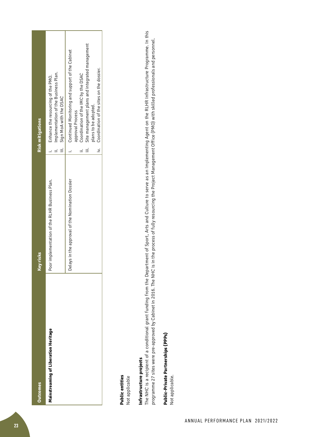| <b>Dutcomes</b>                      | risks<br>Key                                      | <b>Risk mitigations</b>                                                                                                                                                                                                                        |
|--------------------------------------|---------------------------------------------------|------------------------------------------------------------------------------------------------------------------------------------------------------------------------------------------------------------------------------------------------|
| Mainstreaming of Liberation Heritage | implementation of the RLHR Business Plan.<br>Poor | Implementation of the Business Plan.<br>Enhance the resourcing of the PMO.<br>iii. Sign MoA with the DSAC                                                                                                                                      |
|                                      | Delays in the approval of the Nomination Dossier  | Site management plans and integrated management<br>i. Continued Monitoring and support of the Cabinet<br>iv. Coordination of the sites on the dossier.<br>Coordination of the IMC by the DSAC<br>plans to be adopted.<br>approval Process<br>≡ |

# Public entities **Public entities**

Not applicable Not applicable

# Infrastructure projects **Infrastructure projects**

The NHC is a recipient of a conditional grant funding from the Department of Sport, Arts and Culture to serve as an Implementing Agent on the RLHR Infrastructure Programme. In this The NHC is a recipient of a conditional grant funding from the Department of Sport, Arts and Culture to serve as an Implementing Agent on the RLHR Infrastructure Programme. In this programme 27 sites were pre-approved by Cabinet in 2016. The NHC is in the process of fully resourcing the Project Management Office (PMO) with skilled professionals and personnel. programme 27 sites were pre-approved by Cabinet in 2016. The NHC is in the process of fully resourcing the Project Management Office (PMO) with skilled professionals and personnel.

# Public-Private Partnerships (PPPs) **Public-Private Partnerships (PPPs)**

Not applicable. Not applicable.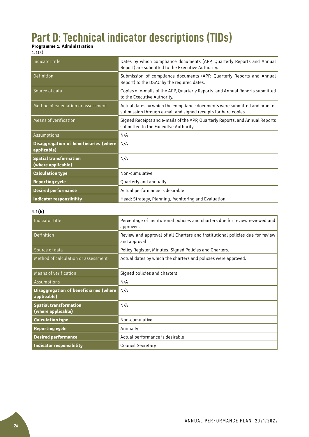# **Part D: Technical indicator descriptions (TIDs)**

#### **Programme 1: Administration**

| Indicator title                                       | Dates by which compliance documents (APP, Quarterly Reports and Annual                                                                      |
|-------------------------------------------------------|---------------------------------------------------------------------------------------------------------------------------------------------|
|                                                       | Report) are submitted to the Executive Authority.                                                                                           |
| Definition                                            | Submission of compliance documents (APP, Quarterly Reports and Annual<br>Report) to the DSAC by the required dates.                         |
| Source of data                                        | Copies of e-mails of the APP, Quarterly Reports, and Annual Reports submitted<br>to the Executive Authority.                                |
| Method of calculation or assessment                   | Actual dates by which the compliance documents were submitted and proof of<br>submission through e-mail and signed receipts for hard copies |
| Means of verification                                 | Signed Receipts and e-mails of the APP, Quarterly Reports, and Annual Reports<br>submitted to the Executive Authority.                      |
| Assumptions                                           | N/A                                                                                                                                         |
| Disaggregation of beneficiaries (where<br>applicable) | N/A                                                                                                                                         |
| <b>Spatial transformation</b><br>(where applicable)   | N/A                                                                                                                                         |
| <b>Calculation type</b>                               | Non-cumulative                                                                                                                              |
| <b>Reporting cycle</b>                                | Quarterly and annually                                                                                                                      |
| <b>Desired performance</b>                            | Actual performance is desirable                                                                                                             |
| <b>Indicator responsibility</b>                       | Head: Strategy, Planning, Monitoring and Evaluation.                                                                                        |

# **1.1(b)**

| Indicator title                                       | Percentage of institutional policies and charters due for review reviewed and<br>approved.    |
|-------------------------------------------------------|-----------------------------------------------------------------------------------------------|
| Definition                                            | Review and approval of all Charters and institutional policies due for review<br>and approval |
| Source of data                                        | Policy Register, Minutes, Signed Policies and Charters.                                       |
| Method of calculation or assessment                   | Actual dates by which the charters and policies were approved.                                |
| Means of verification                                 | Signed policies and charters                                                                  |
| Assumptions                                           | N/A                                                                                           |
| Disaggregation of beneficiaries (where<br>applicable) | N/A                                                                                           |
| <b>Spatial transformation</b><br>(where applicable)   | N/A                                                                                           |
| <b>Calculation type</b>                               | Non-cumulative                                                                                |
| <b>Reporting cycle</b>                                | Annually                                                                                      |
| <b>Desired performance</b>                            | Actual performance is desirable                                                               |
| <b>Indicator responsibility</b>                       | <b>Council Secretary</b>                                                                      |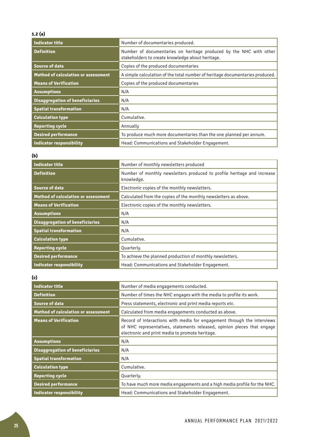# **1.2 (a)**

| <b>Indicator title</b>                     | Number of documentaries produced.                                                                                      |
|--------------------------------------------|------------------------------------------------------------------------------------------------------------------------|
| <b>Definition</b>                          | Number of documentaries on heritage produced by the NHC with other<br>stakeholders to create knowledge about heritage. |
| <b>Source of data</b>                      | Copies of the produced documentaries                                                                                   |
| <b>Method of calculation or assessment</b> | A simple calculation of the total number of heritage documentaries produced.                                           |
| <b>Means of Verification</b>               | Copies of the produced documentaries                                                                                   |
| <b>Assumptions</b>                         | N/A                                                                                                                    |
| <b>Disaggregation of beneficiaries</b>     | N/A                                                                                                                    |
| <b>Spatial transformation</b>              | N/A                                                                                                                    |
| <b>Calculation type</b>                    | Cumulative.                                                                                                            |
| <b>Reporting cycle</b>                     | Annually                                                                                                               |
| <b>Desired performance</b>                 | To produce much more documentaries than the one planned per annum.                                                     |
| Indicator responsibility                   | Head: Communications and Stakeholder Engagement.                                                                       |

# **(b)**

| <b>Indicator title</b>                 | Number of monthly newsletters produced                                                |
|----------------------------------------|---------------------------------------------------------------------------------------|
| <b>Definition</b>                      | Number of monthly newsletters produced to profile heritage and increase<br>knowledge. |
| <b>Source of data</b>                  | Electronic copies of the monthly newsletters.                                         |
| Method of calculation or assessment    | Calculated from the copies of the monthly newsletters as above.                       |
| <b>Means of Verification</b>           | Electronic copies of the monthly newsletters.                                         |
| <b>Assumptions</b>                     | N/A                                                                                   |
| <b>Disaggregation of beneficiaries</b> | N/A                                                                                   |
| <b>Spatial transformation</b>          | N/A                                                                                   |
| <b>Calculation type</b>                | Cumulative.                                                                           |
| <b>Reporting cycle</b>                 | Quarterly.                                                                            |
| <b>Desired performance</b>             | To achieve the planned production of monthly newsletters.                             |
| <b>Indicator responsibility</b>        | Head: Communications and Stakeholder Engagement.                                      |

#### **(c)**

| Indicator title                            | Number of media engagements conducted.                                                                                                                                                                |
|--------------------------------------------|-------------------------------------------------------------------------------------------------------------------------------------------------------------------------------------------------------|
| <b>Definition</b>                          | Number of times the NHC engages with the media to profile its work.                                                                                                                                   |
| <b>Source of data</b>                      | Press statements, electronic and print media reports etc.                                                                                                                                             |
| <b>Method of calculation or assessment</b> | Calculated from media engagements conducted as above.                                                                                                                                                 |
| <b>Means of Verification</b>               | Record of interactions with media for engagement through the interviews<br>of NHC representatives, statements released, opinion pieces that engage<br>electronic and print media to promote heritage. |
| <b>Assumptions</b>                         | N/A                                                                                                                                                                                                   |
| <b>Disaggregation of beneficiaries</b>     | N/A                                                                                                                                                                                                   |
| <b>Spatial transformation</b>              | N/A                                                                                                                                                                                                   |
| <b>Calculation type</b>                    | Cumulative.                                                                                                                                                                                           |
| <b>Reporting cycle</b>                     | Quarterly.                                                                                                                                                                                            |
| <b>Desired performance</b>                 | To have much more media engagements and a high media profile for the NHC.                                                                                                                             |
| Indicator responsibility                   | Head: Communications and Stakeholder Engagement.                                                                                                                                                      |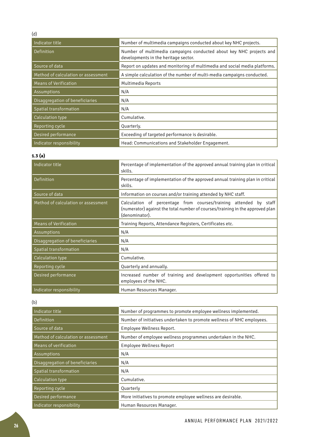| Indicator title                     | Number of multimedia campaigns conducted about key NHC projects.                                            |
|-------------------------------------|-------------------------------------------------------------------------------------------------------------|
| Definition                          | Number of multimedia campaigns conducted about key NHC projects and<br>developments in the heritage sector. |
| Source of data                      | Report on updates and monitoring of multimedia and social media platforms.                                  |
| Method of calculation or assessment | A simple calculation of the number of multi-media campaigns conducted.                                      |
| <b>Means of Verification</b>        | Multimedia Reports                                                                                          |
| Assumptions                         | N/A                                                                                                         |
| Disaggregation of beneficiaries     | N/A                                                                                                         |
| Spatial transformation              | N/A                                                                                                         |
| Calculation type                    | Cumulative.                                                                                                 |
| Reporting cycle                     | Quarterly.                                                                                                  |
| Desired performance                 | Exceeding of targeted performance is desirable.                                                             |
| Indicator responsibility            | Head: Communications and Stakeholder Engagement.                                                            |

# **1.3 (a)**

| Indicator title                     | Percentage of implementation of the approved annual training plan in critical<br>skills.                                                                             |
|-------------------------------------|----------------------------------------------------------------------------------------------------------------------------------------------------------------------|
| Definition                          | Percentage of implementation of the approved annual training plan in critical<br>skills.                                                                             |
| Source of data                      | Information on courses and/or training attended by NHC staff.                                                                                                        |
| Method of calculation or assessment | Calculation of percentage from courses/training attended by staff<br>(numerator) against the total number of courses/training in the approved plan<br>(denominator). |
| <b>Means of Verification</b>        | Training Reports, Attendance Registers, Certificates etc.                                                                                                            |
| Assumptions                         | N/A                                                                                                                                                                  |
| Disaggregation of beneficiaries     | N/A                                                                                                                                                                  |
| Spatial transformation              | N/A                                                                                                                                                                  |
| Calculation type                    | Cumulative.                                                                                                                                                          |
| Reporting cycle                     | Quarterly and annually.                                                                                                                                              |
| Desired performance                 | Increased number of training and development opportunities offered to<br>employees of the NHC.                                                                       |
| Indicator responsibility            | Human Resources Manager.                                                                                                                                             |

# (b)

| Indicator title                     | Number of programmes to promote employee wellness implemented.         |
|-------------------------------------|------------------------------------------------------------------------|
| Definition                          | Number of initiatives undertaken to promote wellness of NHC employees. |
| Source of data                      | Employee Wellness Report.                                              |
| Method of calculation or assessment | Number of employee wellness programmes undertaken in the NHC.          |
| Means of verification               | Employee Wellness Report                                               |
| Assumptions                         | N/A                                                                    |
| Disaggregation of beneficiaries     | N/A                                                                    |
| Spatial transformation              | N/A                                                                    |
| Calculation type                    | Cumulative.                                                            |
| Reporting cycle                     | Quarterly                                                              |
| Desired performance                 | More initiatives to promote employee wellness are desirable.           |
| Indicator responsibility            | Human Resources Manager.                                               |

# (d)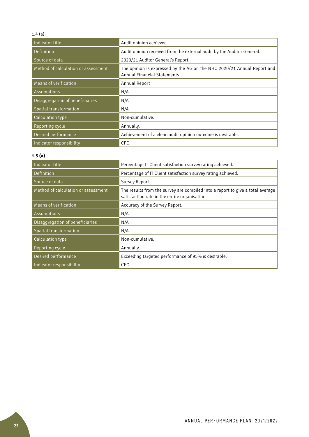#### 1.4 (a)

| Indicator title                     | Audit opinion achieved.                                                                                 |
|-------------------------------------|---------------------------------------------------------------------------------------------------------|
| Definition                          | Audit opinion received from the external audit by the Auditor General.                                  |
| Source of data                      | 2020/21 Auditor General's Report.                                                                       |
| Method of calculation or assessment | The opinion is expressed by the AG on the NHC 2020/21 Annual Report and<br>Annual Financial Statements. |
| Means of verification               | Annual Report                                                                                           |
| Assumptions                         | N/A                                                                                                     |
| Disaggregation of beneficiaries     | N/A                                                                                                     |
| Spatial transformation              | N/A                                                                                                     |
| Calculation type                    | Non-cumulative.                                                                                         |
| <b>Reporting cycle</b>              | Annually.                                                                                               |
| Desired performance                 | Achievement of a clean audit opinion outcome is desirable.                                              |
| Indicator responsibility            | CFO.                                                                                                    |

# **1.5 (a)**

| Indicator title                     | Percentage IT Client satisfaction survey rating achieved.                                                                       |
|-------------------------------------|---------------------------------------------------------------------------------------------------------------------------------|
| Definition                          | Percentage of IT Client satisfaction survey rating achieved.                                                                    |
| Source of data                      | Survey Report.                                                                                                                  |
| Method of calculation or assessment | The results from the survey are compiled into a report to give a total average<br>satisfaction rate in the entire organisation. |
| Means of verification               | Accuracy of the Survey Report.                                                                                                  |
| Assumptions                         | N/A                                                                                                                             |
| Disaggregation of beneficiaries     | N/A                                                                                                                             |
| Spatial transformation              | N/A                                                                                                                             |
| Calculation type                    | Non-cumulative.                                                                                                                 |
| Reporting cycle                     | Annually.                                                                                                                       |
| Desired performance                 | Exceeding targeted performance of 95% is desirable.                                                                             |
| Indicator responsibility            | CFO.                                                                                                                            |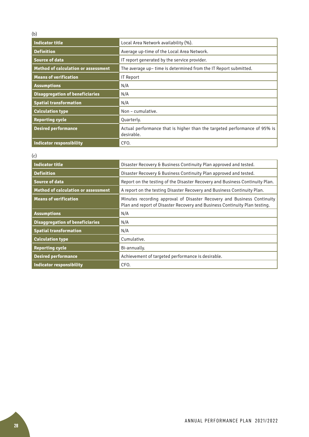# (b)

| Indicator title                            | Local Area Network availability (%).                                                    |
|--------------------------------------------|-----------------------------------------------------------------------------------------|
| <b>Definition</b>                          | Average up-time of the Local Area Network.                                              |
| <b>Source of data</b>                      | IT report generated by the service provider.                                            |
| <b>Method of calculation or assessment</b> | The average up- time is determined from the IT Report submitted.                        |
| <b>Means of verification</b>               | IT Report                                                                               |
| <b>Assumptions</b>                         | N/A                                                                                     |
| <b>Disaggregation of beneficiaries</b>     | N/A                                                                                     |
| <b>Spatial transformation</b>              | N/A                                                                                     |
| <b>Calculation type</b>                    | Non - cumulative.                                                                       |
| <b>Reporting cycle</b>                     | Quarterly.                                                                              |
| <b>Desired performance</b>                 | Actual performance that is higher than the targeted performance of 95% is<br>desirable. |
| Indicator responsibility                   | CFO.                                                                                    |

(c)

| <b>Indicator title</b>                     | Disaster Recovery & Business Continuity Plan approved and tested.                                                                                     |
|--------------------------------------------|-------------------------------------------------------------------------------------------------------------------------------------------------------|
| <b>Definition</b>                          | Disaster Recovery & Business Continuity Plan approved and tested.                                                                                     |
| <b>Source of data</b>                      | Report on the testing of the Disaster Recovery and Business Continuity Plan.                                                                          |
| <b>Method of calculation or assessment</b> | A report on the testing Disaster Recovery and Business Continuity Plan.                                                                               |
| <b>Means of verification</b>               | Minutes recording approval of Disaster Recovery and Business Continuity<br>Plan and report of Disaster Recovery and Business Continuity Plan testing. |
| <b>Assumptions</b>                         | N/A                                                                                                                                                   |
| <b>Disaggregation of beneficiaries</b>     | N/A                                                                                                                                                   |
| <b>Spatial transformation</b>              | N/A                                                                                                                                                   |
| <b>Calculation type</b>                    | Cumulative.                                                                                                                                           |
| <b>Reporting cycle</b>                     | Bi-annually.                                                                                                                                          |
| <b>Desired performance</b>                 | Achievement of targeted performance is desirable.                                                                                                     |
| Indicator responsibility                   | CFO.                                                                                                                                                  |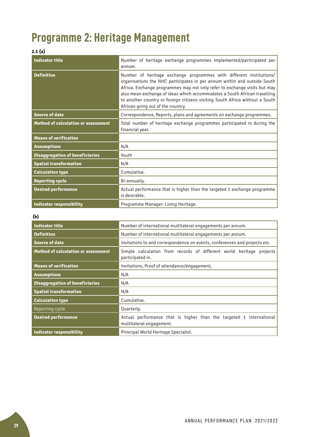# **Programme 2: Heritage Management**

# **2.1 (a)**

| <b>Indicator title</b>                     | Number of heritage exchange programmes implemented/participated per<br>annum.                                                                                                                                                                                                                                                                                                                                                  |
|--------------------------------------------|--------------------------------------------------------------------------------------------------------------------------------------------------------------------------------------------------------------------------------------------------------------------------------------------------------------------------------------------------------------------------------------------------------------------------------|
| <b>Definition</b>                          | Number of heritage exchange programmes with different institutions/<br>organisations the NHC participates in per annum within and outside South<br>Africa. Exchange programmes may not only refer to exchange visits but may<br>also mean exchange of ideas which accommodates a South African travelling<br>to another country or foreign citizens visiting South Africa without a South<br>African going out of the country. |
| <b>Source of data</b>                      | Correspondence, Reports, plans and agreements on exchange programmes.                                                                                                                                                                                                                                                                                                                                                          |
| <b>Method of calculation or assessment</b> | Total number of heritage exchange programmes participated in during the<br>financial year.                                                                                                                                                                                                                                                                                                                                     |
| <b>Means of verification</b>               |                                                                                                                                                                                                                                                                                                                                                                                                                                |
| <b>Assumptions</b>                         | N/A                                                                                                                                                                                                                                                                                                                                                                                                                            |
| <b>Disaggregation of beneficiaries</b>     | Youth                                                                                                                                                                                                                                                                                                                                                                                                                          |
| <b>Spatial transformation</b>              | N/A                                                                                                                                                                                                                                                                                                                                                                                                                            |
| <b>Calculation type</b>                    | Cumulative.                                                                                                                                                                                                                                                                                                                                                                                                                    |
| <b>Reporting cycle</b>                     | Bi-annually.                                                                                                                                                                                                                                                                                                                                                                                                                   |
| <b>Desired performance</b>                 | Actual performance that is higher than the targeted 1 exchange programme<br>is desirable.                                                                                                                                                                                                                                                                                                                                      |
| <b>Indicator responsibility</b>            | Programme Manager: Living Heritage.                                                                                                                                                                                                                                                                                                                                                                                            |

# **(b)**

| <b>Indicator title</b>                     | Number of international multilateral engagements per annum.                                     |
|--------------------------------------------|-------------------------------------------------------------------------------------------------|
| <b>Definition</b>                          | Number of international multilateral engagements per annum.                                     |
| <b>Source of data</b>                      | Invitations to and correspondence on events, conferences and projects etc.                      |
| <b>Method of calculation or assessment</b> | Simple calculation from records of different world heritage projects<br>participated in.        |
| <b>Means of verification</b>               | Invitations, Proof of attendance/engagement,                                                    |
| <b>Assumptions</b>                         | N/A                                                                                             |
| <b>Disaggregation of beneficiaries</b>     | N/A                                                                                             |
| <b>Spatial transformation</b>              | N/A                                                                                             |
| <b>Calculation type</b>                    | Cumulative.                                                                                     |
| <b>Reporting cycle</b>                     | Quarterly.                                                                                      |
| <b>Desired performance</b>                 | Actual performance that is higher than the targeted 1 international<br>multilateral engagement. |
| <b>Indicator responsibility</b>            | Principal World Heritage Specialist.                                                            |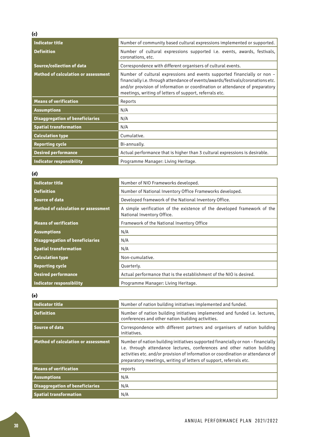| <b>Indicator title</b>                     | Number of community based cultural expressions implemented or supported.                                                                                                                                                                                                                               |
|--------------------------------------------|--------------------------------------------------------------------------------------------------------------------------------------------------------------------------------------------------------------------------------------------------------------------------------------------------------|
| <b>Definition</b>                          | Number of cultural expressions supported i.e. events, awards, festivals,<br>coronations, etc.                                                                                                                                                                                                          |
| <b>Source/collection of data</b>           | Correspondence with different organisers of cultural events.                                                                                                                                                                                                                                           |
| <b>Method of calculation or assessment</b> | Number of cultural expressions and events supported financially or non -<br>financially i.e. through attendance of events/awards/festivals/coronations etc.<br>and/or provision of information or coordination or attendance of preparatory<br>meetings, writing of letters of support, referrals etc. |
| <b>Means of verification</b>               | Reports                                                                                                                                                                                                                                                                                                |
| <b>Assumptions</b>                         | N/A                                                                                                                                                                                                                                                                                                    |
| <b>Disaggregation of beneficiaries</b>     | N/A                                                                                                                                                                                                                                                                                                    |
| <b>Spatial transformation</b>              | N/A                                                                                                                                                                                                                                                                                                    |
| <b>Calculation type</b>                    | Cumulative.                                                                                                                                                                                                                                                                                            |
| <b>Reporting cycle</b>                     | Bi-annually.                                                                                                                                                                                                                                                                                           |
| <b>Desired performance</b>                 | Actual performance that is higher than 3 cultural expressions is desirable.                                                                                                                                                                                                                            |
| <b>Indicator responsibility</b>            | Programme Manager: Living Heritage.                                                                                                                                                                                                                                                                    |

# **(d)**

| <b>Indicator title</b>                     | Number of NIO Frameworks developed.                                                                    |
|--------------------------------------------|--------------------------------------------------------------------------------------------------------|
| <b>Definition</b>                          | Number of National Inventory Office Frameworks developed.                                              |
| <b>Source of data</b>                      | Developed framework of the National Inventory Office.                                                  |
| <b>Method of calculation or assessment</b> | A simple verification of the existence of the developed framework of the<br>National Inventory Office. |
| <b>Means of verification</b>               | Framework of the National Inventory Office                                                             |
| <b>Assumptions</b>                         | N/A                                                                                                    |
| <b>Disaggregation of beneficiaries</b>     | N/A                                                                                                    |
| <b>Spatial transformation</b>              | N/A                                                                                                    |
| <b>Calculation type</b>                    | Non-cumulative.                                                                                        |
| <b>Reporting cycle</b>                     | Quarterly.                                                                                             |
| <b>Desired performance</b>                 | Actual performance that is the establishment of the NIO is desired.                                    |
| <b>Indicator responsibility</b>            | Programme Manager: Living Heritage.                                                                    |

# **(e)**

| Indicator title                            | Number of nation building initiatives implemented and funded.                                                                                                                                                                                                                                                          |
|--------------------------------------------|------------------------------------------------------------------------------------------------------------------------------------------------------------------------------------------------------------------------------------------------------------------------------------------------------------------------|
| <b>Definition</b>                          | Number of nation building initiatives implemented and funded i.e. lectures,<br>conferences and other nation building activities.                                                                                                                                                                                       |
| <b>Source of data</b>                      | Correspondence with different partners and organisers of nation building<br>initiatives.                                                                                                                                                                                                                               |
| <b>Method of calculation or assessment</b> | Number of nation building initiatives supported financially or non - financially<br>i.e. through attendance lectures, conferences and other nation building<br>activities etc. and/or provision of information or coordination or attendance of<br>preparatory meetings, writing of letters of support, referrals etc. |
| <b>Means of verification</b>               | reports                                                                                                                                                                                                                                                                                                                |
| <b>Assumptions</b>                         | N/A                                                                                                                                                                                                                                                                                                                    |
| <b>Disaggregation of beneficiaries</b>     | N/A                                                                                                                                                                                                                                                                                                                    |
| <b>Spatial transformation</b>              | N/A                                                                                                                                                                                                                                                                                                                    |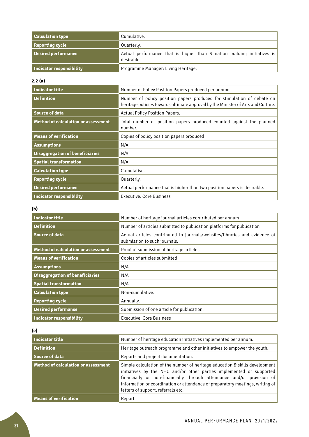| <b>Calculation type</b>    | Cumulative.                                                                           |
|----------------------------|---------------------------------------------------------------------------------------|
| <b>Reporting cycle</b>     | Quarterly.                                                                            |
| <b>Desired performance</b> | Actual performance that is higher than 3 nation building initiatives is<br>desirable. |
| Indicator responsibility   | Programme Manager: Living Heritage.                                                   |

# **2.2 (a)**

| <b>Indicator title</b>                     | Number of Policy Position Papers produced per annum.                                                                                                       |
|--------------------------------------------|------------------------------------------------------------------------------------------------------------------------------------------------------------|
| <b>Definition</b>                          | Number of policy position papers produced for stimulation of debate on<br>heritage policies towards ultimate approval by the Minister of Arts and Culture. |
| <b>Source of data</b>                      | Actual Policy Position Papers.                                                                                                                             |
| <b>Method of calculation or assessment</b> | Total number of position papers produced counted against the planned<br>number.                                                                            |
| <b>Means of verification</b>               | Copies of policy position papers produced                                                                                                                  |
| <b>Assumptions</b>                         | N/A                                                                                                                                                        |
| <b>Disaggregation of beneficiaries</b>     | N/A                                                                                                                                                        |
| <b>Spatial transformation</b>              | N/A                                                                                                                                                        |
| <b>Calculation type</b>                    | Cumulative.                                                                                                                                                |
| <b>Reporting cycle</b>                     | Quarterly.                                                                                                                                                 |
| <b>Desired performance</b>                 | Actual performance that is higher than two position papers is desirable.                                                                                   |
| <b>Indicator responsibility</b>            | Executive: Core Business                                                                                                                                   |

# **(b)**

| Indicator title                            | Number of heritage journal articles contributed per annum                                                  |
|--------------------------------------------|------------------------------------------------------------------------------------------------------------|
| <b>Definition</b>                          | Number of articles submitted to publication platforms for publication                                      |
| Source of data                             | Actual articles contributed to journals/websites/libraries and evidence of<br>submission to such journals. |
| <b>Method of calculation or assessment</b> | Proof of submission of heritage articles.                                                                  |
| <b>Means of verification</b>               | Copies of articles submitted                                                                               |
| <b>Assumptions</b>                         | N/A                                                                                                        |
| <b>Disaggregation of beneficiaries</b>     | N/A                                                                                                        |
| <b>Spatial transformation</b>              | N/A                                                                                                        |
| <b>Calculation type</b>                    | Non-cumulative.                                                                                            |
| <b>Reporting cycle</b>                     | Annually.                                                                                                  |
| <b>Desired performance</b>                 | Submission of one article for publication.                                                                 |
| Indicator responsibility                   | <b>Executive: Core Business</b>                                                                            |

**(c)** 

| Indicator title                     | Number of heritage education initiatives implemented per annum.                                                                                                                                                                                                                                                                                     |
|-------------------------------------|-----------------------------------------------------------------------------------------------------------------------------------------------------------------------------------------------------------------------------------------------------------------------------------------------------------------------------------------------------|
| <b>Definition</b>                   | Heritage outreach programme and other initiatives to empower the youth.                                                                                                                                                                                                                                                                             |
| Source of data                      | Reports and project documentation.                                                                                                                                                                                                                                                                                                                  |
| Method of calculation or assessment | Simple calculation of the number of heritage education & skills development<br>initiatives by the NHC and/or other parties implemented or supported<br>financially or non-financially through attendance and/or provision of<br>information or coordination or attendance of preparatory meetings, writing of<br>letters of support, referrals etc. |
| <b>Means of verification</b>        | Report                                                                                                                                                                                                                                                                                                                                              |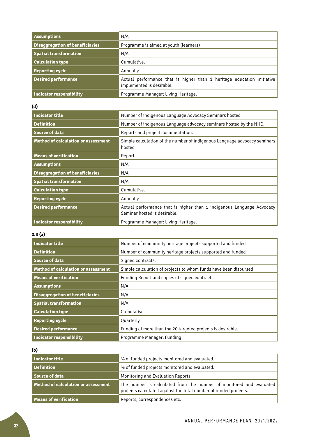| <b>Assumptions</b>                     | N/A                                                                                                 |
|----------------------------------------|-----------------------------------------------------------------------------------------------------|
| <b>Disaggregation of beneficiaries</b> | Programme is aimed at youth (learners)                                                              |
| <b>Spatial transformation</b>          | N/A                                                                                                 |
| <b>Calculation type</b>                | Cumulative.                                                                                         |
| <b>Reporting cycle</b>                 | Annually.                                                                                           |
| <b>Desired performance</b>             | Actual performance that is higher than 1 heritage education initiative<br>implemented is desirable. |
| Indicator responsibility               | Programme Manager: Living Heritage.                                                                 |

# **(d)**

| <b>Indicator title</b>                     | Number of indigenous Language Advocacy Seminars hosted                                                |
|--------------------------------------------|-------------------------------------------------------------------------------------------------------|
| <b>Definition</b>                          | Number of indigenous Language advocacy seminars hosted by the NHC.                                    |
| <b>Source of data</b>                      | Reports and project documentation.                                                                    |
| <b>Method of calculation or assessment</b> | Simple calculation of the number of indigenous Language advocacy seminars<br>hosted                   |
| <b>Means of verification</b>               | Report                                                                                                |
| <b>Assumptions</b>                         | N/A                                                                                                   |
| <b>Disaggregation of beneficiaries</b>     | N/A                                                                                                   |
| <b>Spatial transformation</b>              | N/A                                                                                                   |
| <b>Calculation type</b>                    | Cumulative.                                                                                           |
| <b>Reporting cycle</b>                     | Annually.                                                                                             |
| <b>Desired performance</b>                 | Actual performance that is higher than 1 indigenous Language Advocacy<br>Seminar hosted is desirable. |
| Indicator responsibility                   | Programme Manager: Living Heritage.                                                                   |

# **2.3 (a)**

| Indicator title                            | Number of community heritage projects supported and funded       |
|--------------------------------------------|------------------------------------------------------------------|
| <b>Definition</b>                          | Number of community heritage projects supported and funded       |
| Source of data                             | Signed contracts.                                                |
| <b>Method of calculation or assessment</b> | Simple calculation of projects to whom funds have been disbursed |
| <b>Means of verification</b>               | Funding Report and copies of signed contracts                    |
| <b>Assumptions</b>                         | N/A                                                              |
| <b>Disaggregation of beneficiaries</b>     | N/A                                                              |
| <b>Spatial transformation</b>              | N/A                                                              |
| <b>Calculation type</b>                    | Cumulative.                                                      |
| <b>Reporting cycle</b>                     | Quarterly.                                                       |
| <b>Desired performance</b>                 | Funding of more than the 20 targeted projects is desirable.      |
| Indicator responsibility                   | Programme Manager: Funding                                       |

**(b)**

| Indicator title                     | % of funded projects monitored and evaluated.                                                                                           |
|-------------------------------------|-----------------------------------------------------------------------------------------------------------------------------------------|
| <b>Definition</b>                   | % of funded projects monitored and evaluated.                                                                                           |
| Source of data                      | Monitoring and Evaluation Reports                                                                                                       |
| Method of calculation or assessment | The number is calculated from the number of monitored and evaluated<br>projects calculated against the total number of funded projects. |
| Means of verification               | Reports, correspondences etc.                                                                                                           |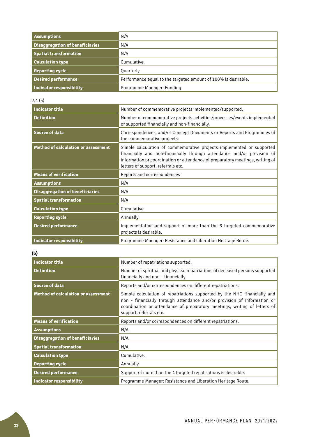| <b>Assumptions</b>                     | N/A                                                            |
|----------------------------------------|----------------------------------------------------------------|
| <b>Disaggregation of beneficiaries</b> | N/A                                                            |
| <b>Spatial transformation</b>          | N/A                                                            |
| <b>Calculation type</b>                | Cumulative.                                                    |
| <b>Reporting cycle</b>                 | Quarterly.                                                     |
| <b>Desired performance</b>             | Performance equal to the targeted amount of 100% is desirable. |
| Indicator responsibility               | Programme Manager: Funding                                     |

# $2.4(a)$

| <b>Indicator title</b>                     | Number of commemorative projects implemented/supported.                                                                                                                                                                                                                |
|--------------------------------------------|------------------------------------------------------------------------------------------------------------------------------------------------------------------------------------------------------------------------------------------------------------------------|
| <b>Definition</b>                          | Number of commemorative projects activities/processes/events implemented<br>or supported financially and non-financially.                                                                                                                                              |
| <b>Source of data</b>                      | Correspondences, and/or Concept Documents or Reports and Programmes of<br>the commemorative projects.                                                                                                                                                                  |
| <b>Method of calculation or assessment</b> | Simple calculation of commemorative projects implemented or supported<br>financially and non-financially through attendance and/or provision of<br>information or coordination or attendance of preparatory meetings, writing of<br>letters of support, referrals etc. |
| <b>Means of verification</b>               | Reports and correspondences                                                                                                                                                                                                                                            |
| <b>Assumptions</b>                         | N/A                                                                                                                                                                                                                                                                    |
| <b>Disaggregation of beneficiaries</b>     | N/A                                                                                                                                                                                                                                                                    |
| <b>Spatial transformation</b>              | N/A                                                                                                                                                                                                                                                                    |
| <b>Calculation type</b>                    | Cumulative.                                                                                                                                                                                                                                                            |
| <b>Reporting cycle</b>                     | Annually.                                                                                                                                                                                                                                                              |
| <b>Desired performance</b>                 | Implementation and support of more than the 3 targeted commemorative<br>projects is desirable.                                                                                                                                                                         |
| <b>Indicator responsibility</b>            | Programme Manager: Resistance and Liberation Heritage Route.                                                                                                                                                                                                           |

# **(b)**

| <b>Indicator title</b>                     | Number of repatriations supported.                                                                                                                                                                                                                          |
|--------------------------------------------|-------------------------------------------------------------------------------------------------------------------------------------------------------------------------------------------------------------------------------------------------------------|
| <b>Definition</b>                          | Number of spiritual and physical repatriations of deceased persons supported<br>financially and non - financially.                                                                                                                                          |
| <b>Source of data</b>                      | Reports and/or correspondences on different repatriations.                                                                                                                                                                                                  |
| <b>Method of calculation or assessment</b> | Simple calculation of repatriations supported by the NHC financially and<br>non - financially through attendance and/or provision of information or<br>coordination or attendance of preparatory meetings, writing of letters of<br>support, referrals etc. |
| <b>Means of verification</b>               | Reports and/or correspondences on different repatriations.                                                                                                                                                                                                  |
| <b>Assumptions</b>                         | N/A                                                                                                                                                                                                                                                         |
| <b>Disaggregation of beneficiaries</b>     | N/A                                                                                                                                                                                                                                                         |
| <b>Spatial transformation</b>              | N/A                                                                                                                                                                                                                                                         |
| <b>Calculation type</b>                    | Cumulative.                                                                                                                                                                                                                                                 |
| <b>Reporting cycle</b>                     | Annually.                                                                                                                                                                                                                                                   |
| <b>Desired performance</b>                 | Support of more than the 4 targeted repatriations is desirable.                                                                                                                                                                                             |
| <b>Indicator responsibility</b>            | Programme Manager: Resistance and Liberation Heritage Route.                                                                                                                                                                                                |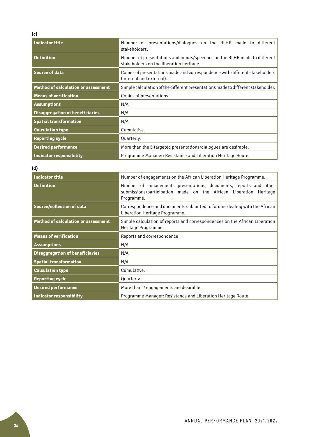| <b>Indicator title</b>                     | Number of presentations/dialogues on the RLHR made to different<br>stakeholders.                                      |
|--------------------------------------------|-----------------------------------------------------------------------------------------------------------------------|
| <b>Definition</b>                          | Number of presentations and inputs/speeches on the RLHR made to different<br>stakeholders on the liberation heritage. |
| <b>Source of data</b>                      | Copies of presentations made and correspondence with different stakeholders<br>(internal and external).               |
| <b>Method of calculation or assessment</b> | Simple calculation of the different presentations made to different stakeholder.                                      |
| <b>Means of verification</b>               | Copies of presentations                                                                                               |
| <b>Assumptions</b>                         | N/A                                                                                                                   |
| <b>Disaggregation of beneficiaries</b>     | N/A                                                                                                                   |
| <b>Spatial transformation</b>              | N/A                                                                                                                   |
| <b>Calculation type</b>                    | Cumulative.                                                                                                           |
| <b>Reporting cycle</b>                     | Quarterly.                                                                                                            |
| <b>Desired performance</b>                 | More than the 5 targeted presentations/dialogues are desirable.                                                       |
| <b>Indicator responsibility</b>            | Programme Manager: Resistance and Liberation Heritage Route.                                                          |

| (d)                                        |                                                                                                                                                      |
|--------------------------------------------|------------------------------------------------------------------------------------------------------------------------------------------------------|
| <b>Indicator title</b>                     | Number of engagements on the African Liberation Heritage Programme.                                                                                  |
| <b>Definition</b>                          | Number of engagements presentations, documents, reports and other<br>submissions/participation made on the African Liberation Heritage<br>Programme. |
| <b>Source/collection of data</b>           | Correspondence and documents submitted to forums dealing with the African<br>Liberation Heritage Programme.                                          |
| <b>Method of calculation or assessment</b> | Simple calculation of reports and correspondences on the African Liberation<br>Heritage Programme.                                                   |
| <b>Means of verification</b>               | Reports and correspondence                                                                                                                           |
| <b>Assumptions</b>                         | N/A                                                                                                                                                  |
| <b>Disaggregation of beneficiaries</b>     | N/A                                                                                                                                                  |
| <b>Spatial transformation</b>              | N/A                                                                                                                                                  |
| <b>Calculation type</b>                    | Cumulative.                                                                                                                                          |
| <b>Reporting cycle</b>                     | Quarterly.                                                                                                                                           |
| <b>Desired performance</b>                 | More than 2 engagements are desirable.                                                                                                               |
| <b>Indicator responsibility</b>            | Programme Manager: Resistance and Liberation Heritage Route.                                                                                         |

# **(c)**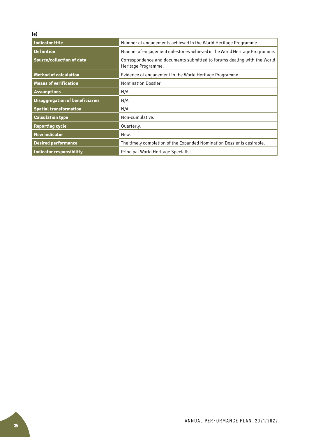# **(e)**

| <b>Indicator title</b>                 | Number of engagements achieved in the World Heritage Programme.                                |  |
|----------------------------------------|------------------------------------------------------------------------------------------------|--|
| <b>Definition</b>                      | Number of engagement milestones achieved in the World Heritage Programme.                      |  |
| <b>Source/collection of data</b>       | Correspondence and documents submitted to forums dealing with the World<br>Heritage Programme. |  |
| <b>Method of calculation</b>           | Evidence of engagement in the World Heritage Programme                                         |  |
| <b>Means of verification</b>           | <b>Nomination Dossier</b>                                                                      |  |
| <b>Assumptions</b>                     | N/A                                                                                            |  |
| <b>Disaggregation of beneficiaries</b> | N/A                                                                                            |  |
| <b>Spatial transformation</b>          | N/A                                                                                            |  |
| <b>Calculation type</b>                | Non-cumulative.                                                                                |  |
| <b>Reporting cycle</b>                 | Quarterly.                                                                                     |  |
| <b>New indicator</b>                   | New.                                                                                           |  |
| <b>Desired performance</b>             | The timely completion of the Expanded Nomination Dossier is desirable.                         |  |
| <b>Indicator responsibility</b>        | Principal World Heritage Specialist.                                                           |  |